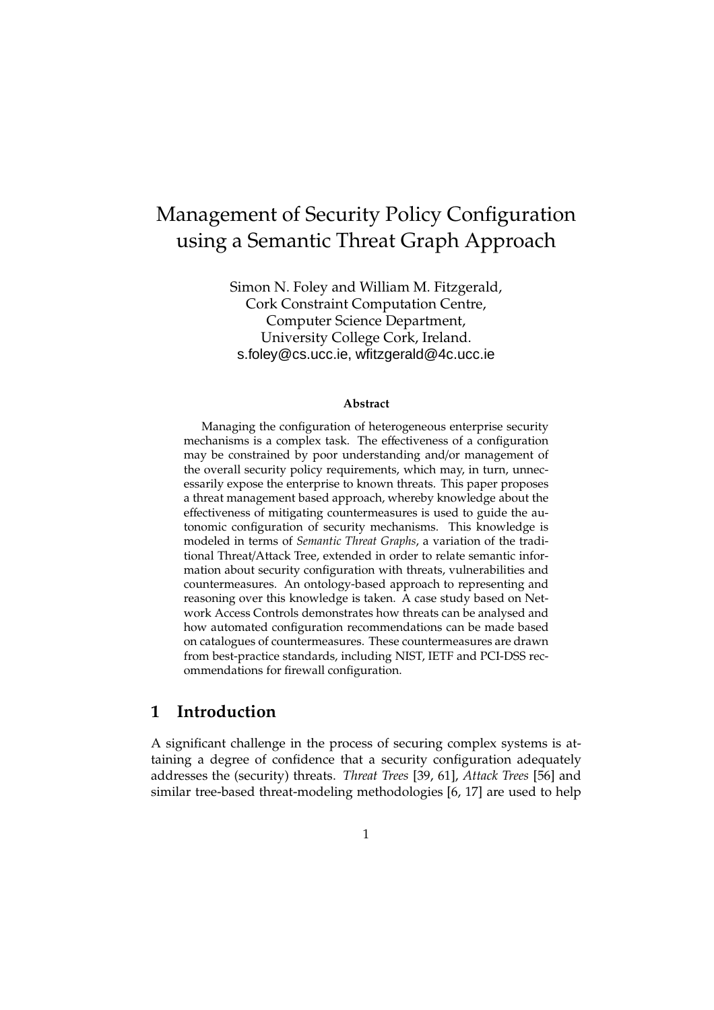# Management of Security Policy Configuration using a Semantic Threat Graph Approach

Simon N. Foley and William M. Fitzgerald, Cork Constraint Computation Centre, Computer Science Department, University College Cork, Ireland. s.foley@cs.ucc.ie, wfitzgerald@4c.ucc.ie

#### **Abstract**

Managing the configuration of heterogeneous enterprise security mechanisms is a complex task. The effectiveness of a configuration may be constrained by poor understanding and/or management of the overall security policy requirements, which may, in turn, unnecessarily expose the enterprise to known threats. This paper proposes a threat management based approach, whereby knowledge about the effectiveness of mitigating countermeasures is used to guide the autonomic configuration of security mechanisms. This knowledge is modeled in terms of *Semantic Threat Graphs*, a variation of the traditional Threat/Attack Tree, extended in order to relate semantic information about security configuration with threats, vulnerabilities and countermeasures. An ontology-based approach to representing and reasoning over this knowledge is taken. A case study based on Network Access Controls demonstrates how threats can be analysed and how automated configuration recommendations can be made based on catalogues of countermeasures. These countermeasures are drawn from best-practice standards, including NIST, IETF and PCI-DSS recommendations for firewall configuration.

## **1 Introduction**

A significant challenge in the process of securing complex systems is attaining a degree of confidence that a security configuration adequately addresses the (security) threats. *Threat Trees* [39, 61], *Attack Trees* [56] and similar tree-based threat-modeling methodologies [6, 17] are used to help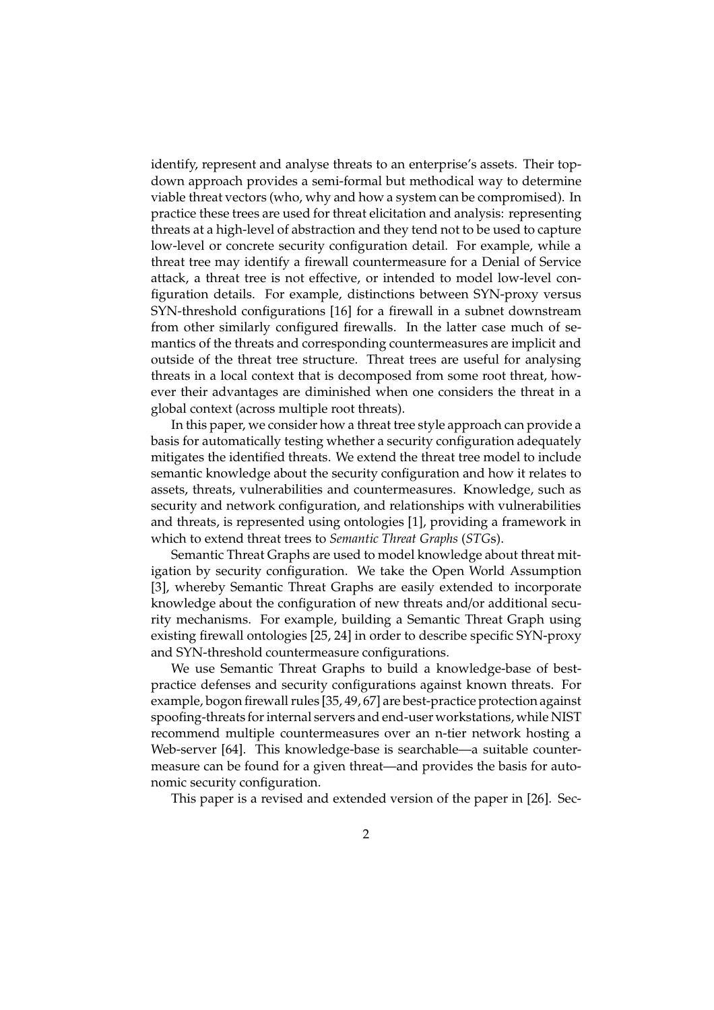identify, represent and analyse threats to an enterprise's assets. Their topdown approach provides a semi-formal but methodical way to determine viable threat vectors (who, why and how a system can be compromised). In practice these trees are used for threat elicitation and analysis: representing threats at a high-level of abstraction and they tend not to be used to capture low-level or concrete security configuration detail. For example, while a threat tree may identify a firewall countermeasure for a Denial of Service attack, a threat tree is not effective, or intended to model low-level configuration details. For example, distinctions between SYN-proxy versus SYN-threshold configurations [16] for a firewall in a subnet downstream from other similarly configured firewalls. In the latter case much of semantics of the threats and corresponding countermeasures are implicit and outside of the threat tree structure. Threat trees are useful for analysing threats in a local context that is decomposed from some root threat, however their advantages are diminished when one considers the threat in a global context (across multiple root threats).

In this paper, we consider how a threat tree style approach can provide a basis for automatically testing whether a security configuration adequately mitigates the identified threats. We extend the threat tree model to include semantic knowledge about the security configuration and how it relates to assets, threats, vulnerabilities and countermeasures. Knowledge, such as security and network configuration, and relationships with vulnerabilities and threats, is represented using ontologies [1], providing a framework in which to extend threat trees to *Semantic Threat Graphs* (*STG*s).

Semantic Threat Graphs are used to model knowledge about threat mitigation by security configuration. We take the Open World Assumption [3], whereby Semantic Threat Graphs are easily extended to incorporate knowledge about the configuration of new threats and/or additional security mechanisms. For example, building a Semantic Threat Graph using existing firewall ontologies [25, 24] in order to describe specific SYN-proxy and SYN-threshold countermeasure configurations.

We use Semantic Threat Graphs to build a knowledge-base of bestpractice defenses and security configurations against known threats. For example, bogon firewall rules [35, 49, 67] are best-practice protection against spoofing-threats for internal servers and end-user workstations, while NIST recommend multiple countermeasures over an n-tier network hosting a Web-server [64]. This knowledge-base is searchable—a suitable countermeasure can be found for a given threat—and provides the basis for autonomic security configuration.

This paper is a revised and extended version of the paper in [26]. Sec-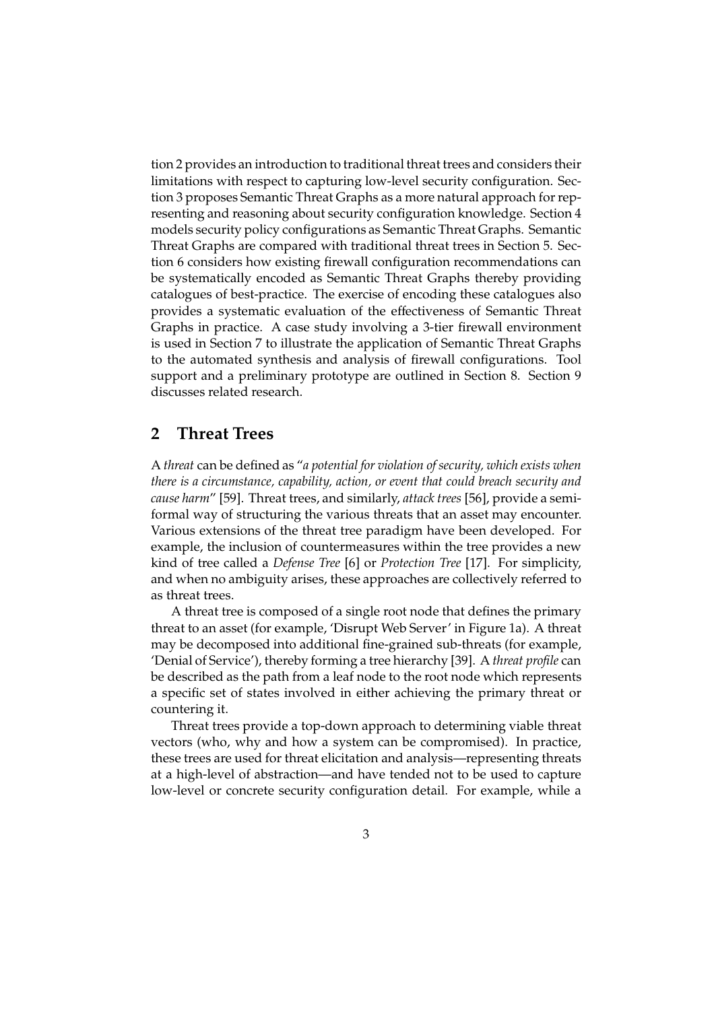tion 2 provides an introduction to traditional threat trees and considers their limitations with respect to capturing low-level security configuration. Section 3 proposes Semantic Threat Graphs as a more natural approach for representing and reasoning about security configuration knowledge. Section 4 models security policy configurations as Semantic Threat Graphs. Semantic Threat Graphs are compared with traditional threat trees in Section 5. Section 6 considers how existing firewall configuration recommendations can be systematically encoded as Semantic Threat Graphs thereby providing catalogues of best-practice. The exercise of encoding these catalogues also provides a systematic evaluation of the effectiveness of Semantic Threat Graphs in practice. A case study involving a 3-tier firewall environment is used in Section 7 to illustrate the application of Semantic Threat Graphs to the automated synthesis and analysis of firewall configurations. Tool support and a preliminary prototype are outlined in Section 8. Section 9 discusses related research.

## **2 Threat Trees**

A *threat* can be defined as "*a potential for violation of security, which exists when there is a circumstance, capability, action, or event that could breach security and cause harm*" [59]. Threat trees, and similarly, *attack trees* [56], provide a semiformal way of structuring the various threats that an asset may encounter. Various extensions of the threat tree paradigm have been developed. For example, the inclusion of countermeasures within the tree provides a new kind of tree called a *Defense Tree* [6] or *Protection Tree* [17]. For simplicity, and when no ambiguity arises, these approaches are collectively referred to as threat trees.

A threat tree is composed of a single root node that defines the primary threat to an asset (for example, 'Disrupt Web Server' in Figure 1a). A threat may be decomposed into additional fine-grained sub-threats (for example, 'Denial of Service'), thereby forming a tree hierarchy [39]. A *threat profile* can be described as the path from a leaf node to the root node which represents a specific set of states involved in either achieving the primary threat or countering it.

Threat trees provide a top-down approach to determining viable threat vectors (who, why and how a system can be compromised). In practice, these trees are used for threat elicitation and analysis—representing threats at a high-level of abstraction—and have tended not to be used to capture low-level or concrete security configuration detail. For example, while a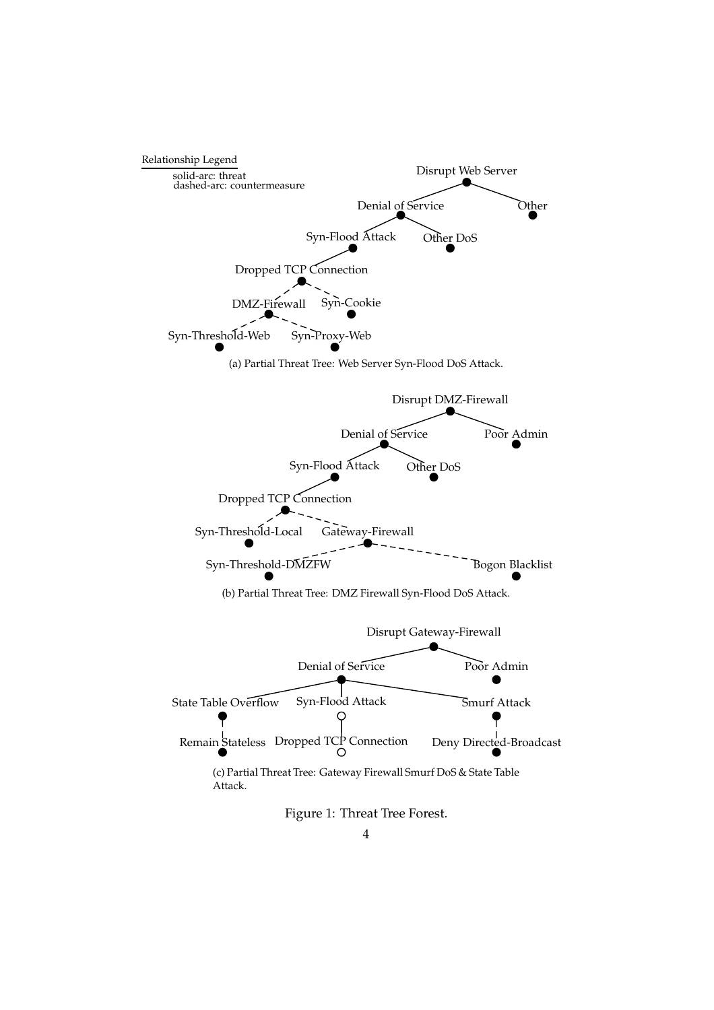

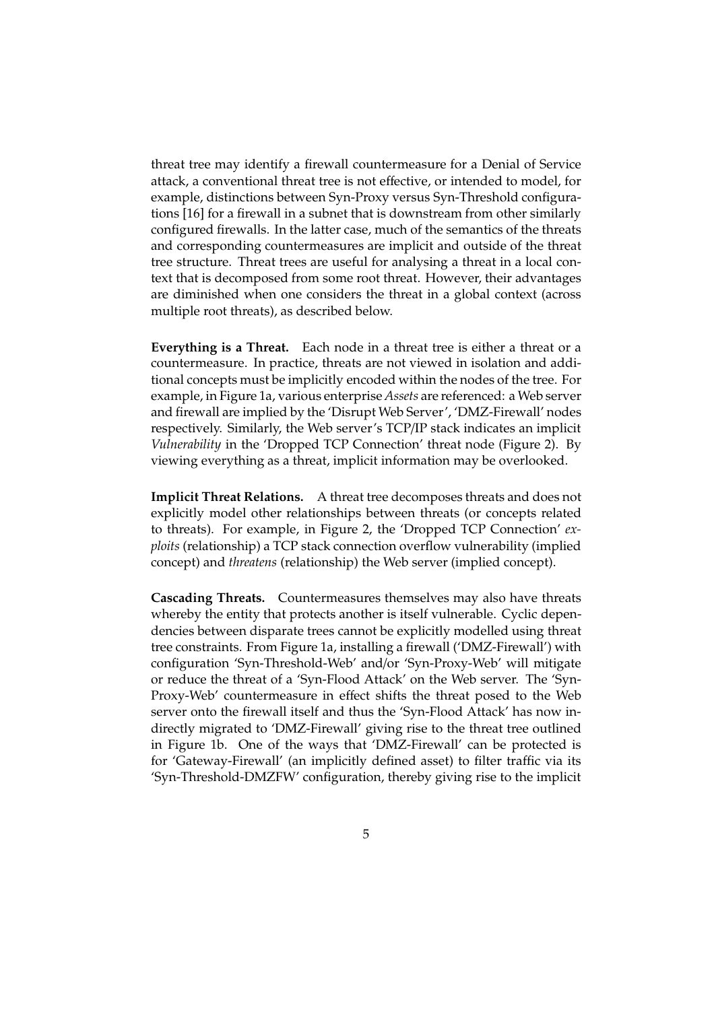threat tree may identify a firewall countermeasure for a Denial of Service attack, a conventional threat tree is not effective, or intended to model, for example, distinctions between Syn-Proxy versus Syn-Threshold configurations [16] for a firewall in a subnet that is downstream from other similarly configured firewalls. In the latter case, much of the semantics of the threats and corresponding countermeasures are implicit and outside of the threat tree structure. Threat trees are useful for analysing a threat in a local context that is decomposed from some root threat. However, their advantages are diminished when one considers the threat in a global context (across multiple root threats), as described below.

**Everything is a Threat.** Each node in a threat tree is either a threat or a countermeasure. In practice, threats are not viewed in isolation and additional concepts must be implicitly encoded within the nodes of the tree. For example, in Figure 1a, various enterprise *Assets* are referenced: a Web server and firewall are implied by the 'Disrupt Web Server', 'DMZ-Firewall' nodes respectively. Similarly, the Web server's TCP/IP stack indicates an implicit *Vulnerability* in the 'Dropped TCP Connection' threat node (Figure 2). By viewing everything as a threat, implicit information may be overlooked.

**Implicit Threat Relations.** A threat tree decomposes threats and does not explicitly model other relationships between threats (or concepts related to threats). For example, in Figure 2, the 'Dropped TCP Connection' *exploits* (relationship) a TCP stack connection overflow vulnerability (implied concept) and *threatens* (relationship) the Web server (implied concept).

**Cascading Threats.** Countermeasures themselves may also have threats whereby the entity that protects another is itself vulnerable. Cyclic dependencies between disparate trees cannot be explicitly modelled using threat tree constraints. From Figure 1a, installing a firewall ('DMZ-Firewall') with configuration 'Syn-Threshold-Web' and/or 'Syn-Proxy-Web' will mitigate or reduce the threat of a 'Syn-Flood Attack' on the Web server. The 'Syn-Proxy-Web' countermeasure in effect shifts the threat posed to the Web server onto the firewall itself and thus the 'Syn-Flood Attack' has now indirectly migrated to 'DMZ-Firewall' giving rise to the threat tree outlined in Figure 1b. One of the ways that 'DMZ-Firewall' can be protected is for 'Gateway-Firewall' (an implicitly defined asset) to filter traffic via its 'Syn-Threshold-DMZFW' configuration, thereby giving rise to the implicit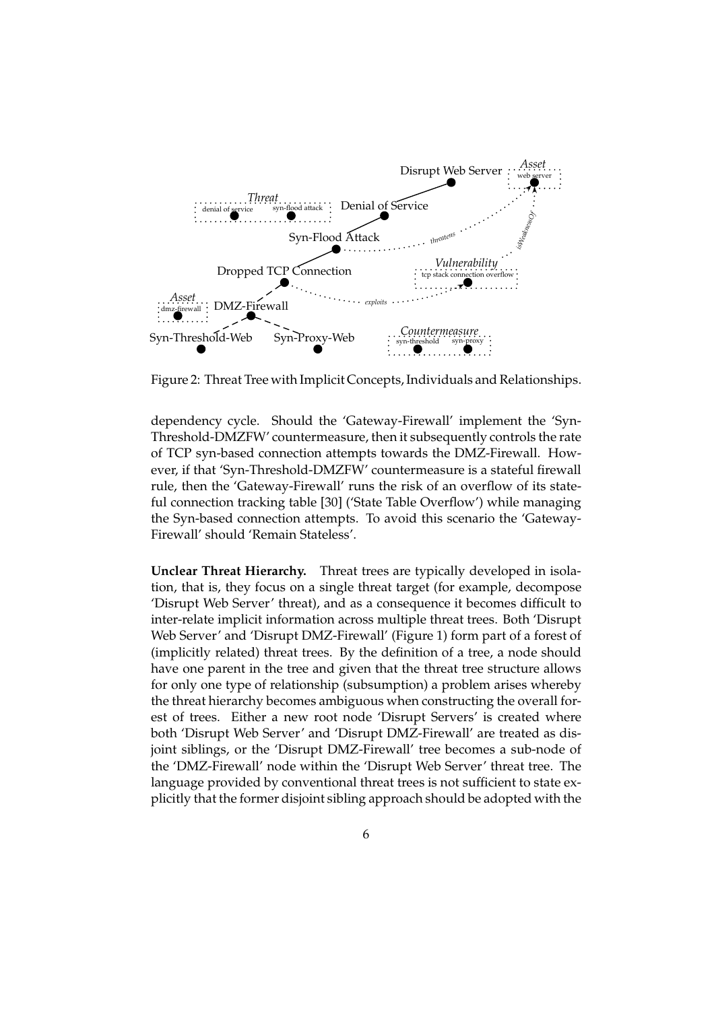

Figure 2: Threat Tree with Implicit Concepts, Individuals and Relationships.

dependency cycle. Should the 'Gateway-Firewall' implement the 'Syn-Threshold-DMZFW' countermeasure, then it subsequently controls the rate of TCP syn-based connection attempts towards the DMZ-Firewall. However, if that 'Syn-Threshold-DMZFW' countermeasure is a stateful firewall rule, then the 'Gateway-Firewall' runs the risk of an overflow of its stateful connection tracking table [30] ('State Table Overflow') while managing the Syn-based connection attempts. To avoid this scenario the 'Gateway-Firewall' should 'Remain Stateless'.

**Unclear Threat Hierarchy.** Threat trees are typically developed in isolation, that is, they focus on a single threat target (for example, decompose 'Disrupt Web Server' threat), and as a consequence it becomes difficult to inter-relate implicit information across multiple threat trees. Both 'Disrupt Web Server' and 'Disrupt DMZ-Firewall' (Figure 1) form part of a forest of (implicitly related) threat trees. By the definition of a tree, a node should have one parent in the tree and given that the threat tree structure allows for only one type of relationship (subsumption) a problem arises whereby the threat hierarchy becomes ambiguous when constructing the overall forest of trees. Either a new root node 'Disrupt Servers' is created where both 'Disrupt Web Server' and 'Disrupt DMZ-Firewall' are treated as disjoint siblings, or the 'Disrupt DMZ-Firewall' tree becomes a sub-node of the 'DMZ-Firewall' node within the 'Disrupt Web Server' threat tree. The language provided by conventional threat trees is not sufficient to state explicitly that the former disjoint sibling approach should be adopted with the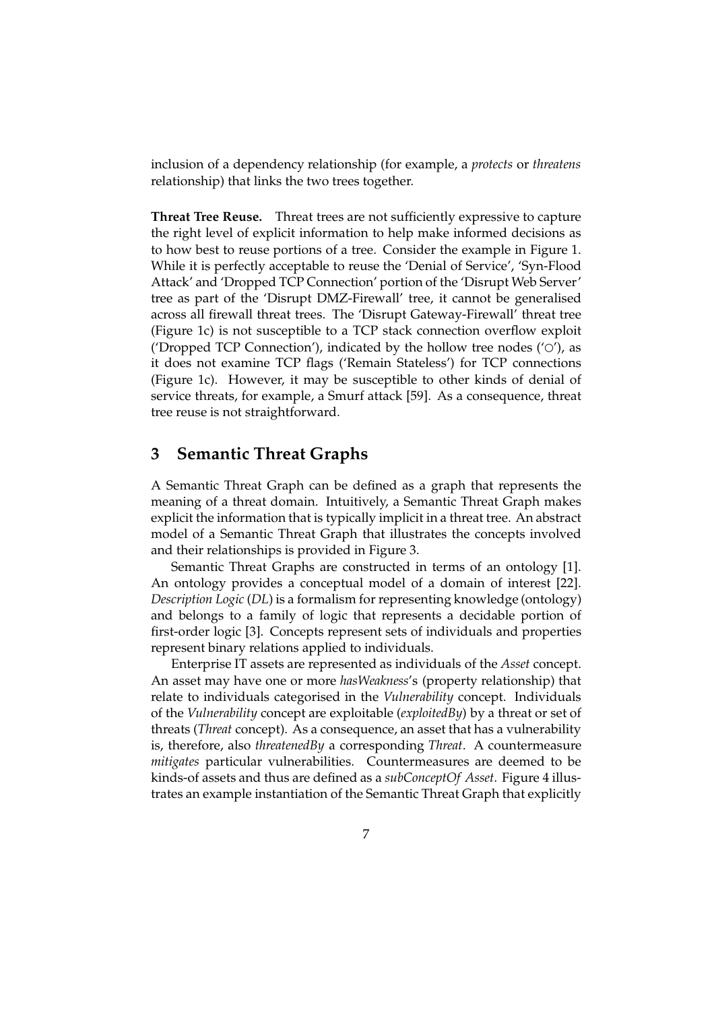inclusion of a dependency relationship (for example, a *protects* or *threatens* relationship) that links the two trees together.

**Threat Tree Reuse.** Threat trees are not sufficiently expressive to capture the right level of explicit information to help make informed decisions as to how best to reuse portions of a tree. Consider the example in Figure 1. While it is perfectly acceptable to reuse the 'Denial of Service', 'Syn-Flood Attack' and 'Dropped TCP Connection' portion of the 'Disrupt Web Server' tree as part of the 'Disrupt DMZ-Firewall' tree, it cannot be generalised across all firewall threat trees. The 'Disrupt Gateway-Firewall' threat tree (Figure 1c) is not susceptible to a TCP stack connection overflow exploit ('Dropped TCP Connection'), indicated by the hollow tree nodes ( $'$ O'), as it does not examine TCP flags ('Remain Stateless') for TCP connections (Figure 1c). However, it may be susceptible to other kinds of denial of service threats, for example, a Smurf attack [59]. As a consequence, threat tree reuse is not straightforward.

## **3 Semantic Threat Graphs**

A Semantic Threat Graph can be defined as a graph that represents the meaning of a threat domain. Intuitively, a Semantic Threat Graph makes explicit the information that is typically implicit in a threat tree. An abstract model of a Semantic Threat Graph that illustrates the concepts involved and their relationships is provided in Figure 3.

Semantic Threat Graphs are constructed in terms of an ontology [1]. An ontology provides a conceptual model of a domain of interest [22]. *Description Logic* (*DL*) is a formalism for representing knowledge (ontology) and belongs to a family of logic that represents a decidable portion of first-order logic [3]. Concepts represent sets of individuals and properties represent binary relations applied to individuals.

Enterprise IT assets are represented as individuals of the *Asset* concept. An asset may have one or more *hasWeakness*'s (property relationship) that relate to individuals categorised in the *Vulnerability* concept. Individuals of the *Vulnerability* concept are exploitable (*exploitedBy*) by a threat or set of threats (*Threat* concept). As a consequence, an asset that has a vulnerability is, therefore, also *threatenedBy* a corresponding *Threat*. A countermeasure *mitigates* particular vulnerabilities. Countermeasures are deemed to be kinds-of assets and thus are defined as a *subConceptOf Asset*. Figure 4 illustrates an example instantiation of the Semantic Threat Graph that explicitly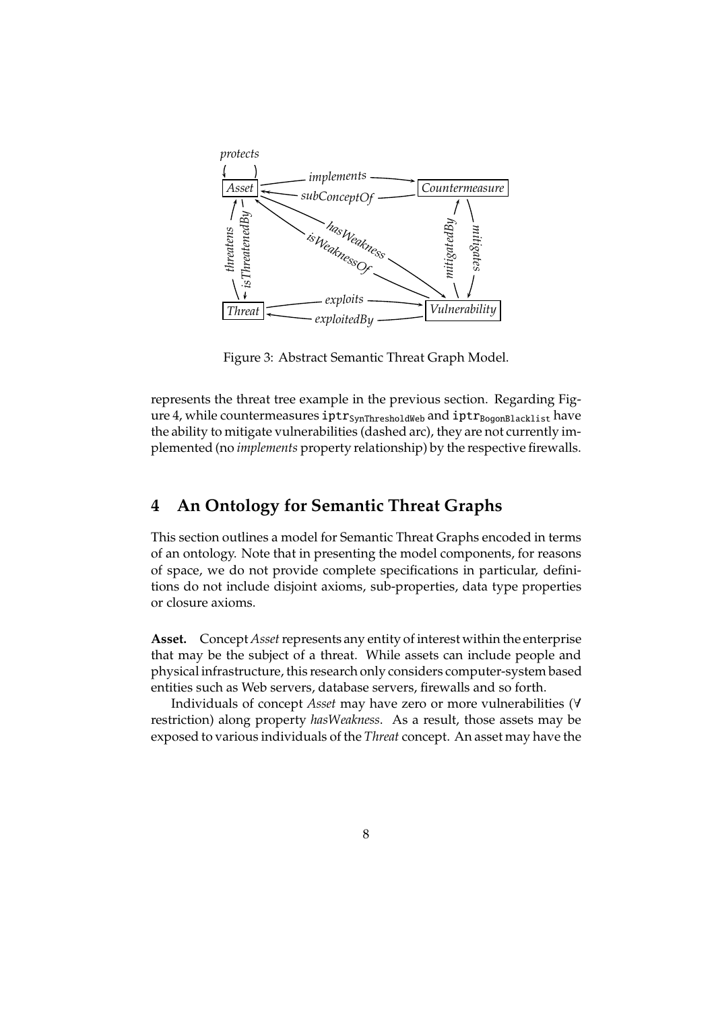

Figure 3: Abstract Semantic Threat Graph Model.

represents the threat tree example in the previous section. Regarding Figure 4, while countermeasures iptr<sub>SynThresholdWeb</sub> and iptr<sub>BogonBlacklist</sub> have the ability to mitigate vulnerabilities (dashed arc), they are not currently implemented (no *implements* property relationship) by the respective firewalls.

## **4 An Ontology for Semantic Threat Graphs**

This section outlines a model for Semantic Threat Graphs encoded in terms of an ontology. Note that in presenting the model components, for reasons of space, we do not provide complete specifications in particular, definitions do not include disjoint axioms, sub-properties, data type properties or closure axioms.

Asset. Concept *Asset* represents any entity of interest within the enterprise that may be the subject of a threat. While assets can include people and physical infrastructure, this research only considers computer-system based entities such as Web servers, database servers, firewalls and so forth.

Individuals of concept *Asset* may have zero or more vulnerabilities (∀ restriction) along property *hasWeakness*. As a result, those assets may be exposed to various individuals of the *Threat* concept. An asset may have the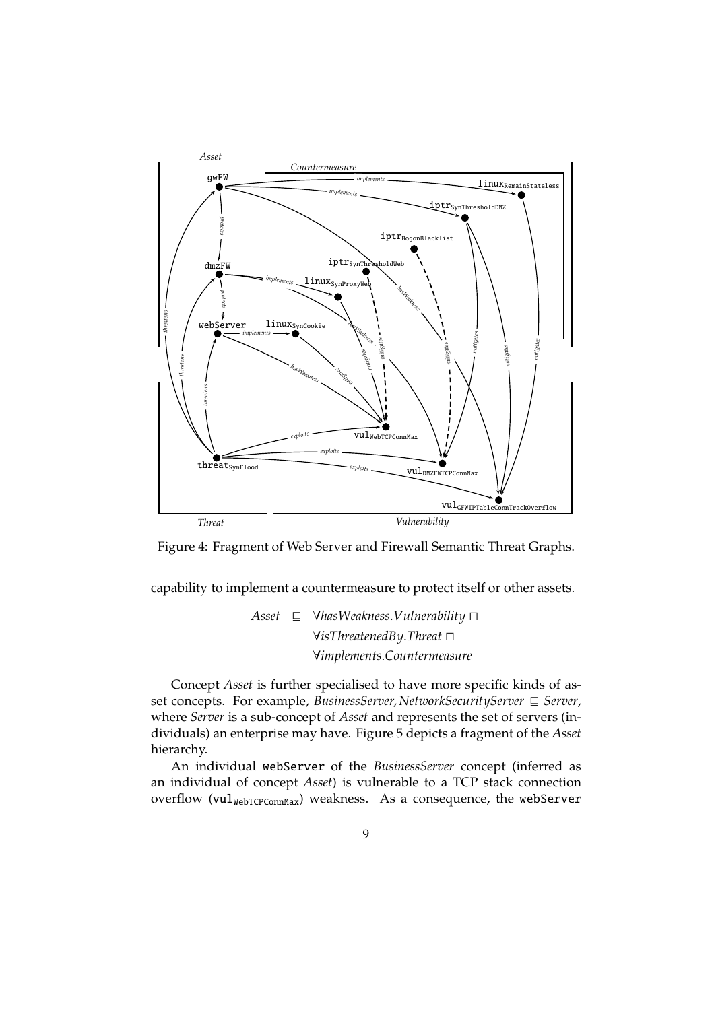

Figure 4: Fragment of Web Server and Firewall Semantic Threat Graphs.

capability to implement a countermeasure to protect itself or other assets.

*Asset* ⊑ ∀*hasWeakness*.*Vulnerability* ⊓ ∀*isThreatenedBy*.*Threat* ⊓ ∀*implements*.*Countermeasure*

Concept *Asset* is further specialised to have more specific kinds of asset concepts. For example, *BusinessServer*, *NetworkSecurityServer* ⊑ *Server*, where *Server* is a sub-concept of *Asset* and represents the set of servers (individuals) an enterprise may have. Figure 5 depicts a fragment of the *Asset* hierarchy.

An individual webServer of the *BusinessServer* concept (inferred as an individual of concept *Asset*) is vulnerable to a TCP stack connection overflow ( $\text{vul}_{\text{WebTCPconnMax}}$ ) weakness. As a consequence, the webServer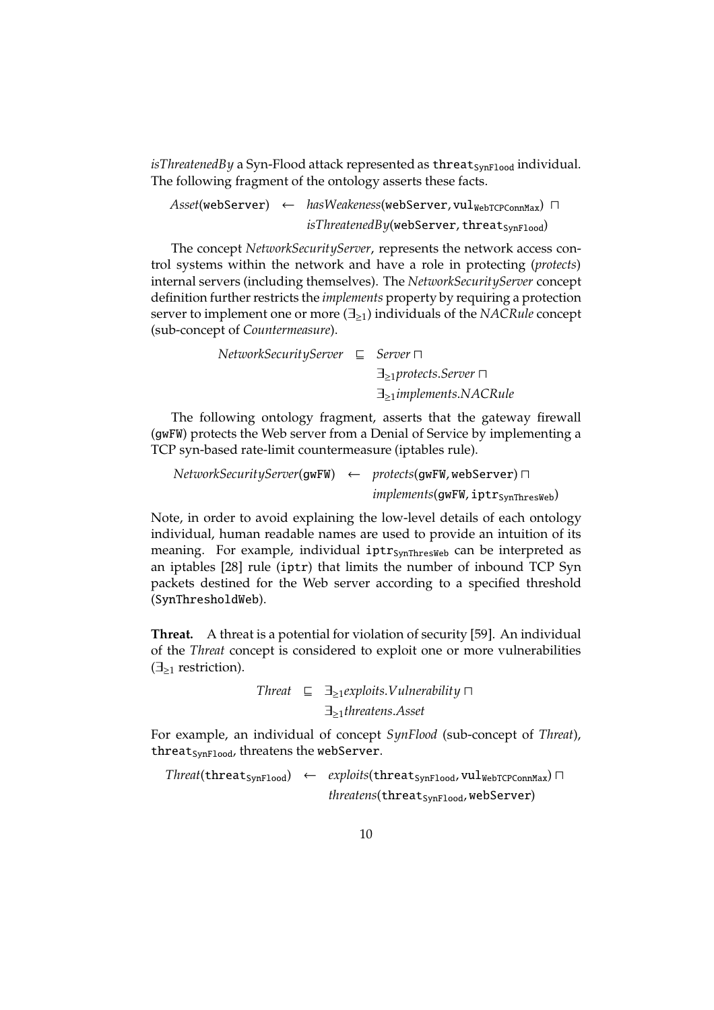*isThreatenedBy* a Syn-Flood attack represented as threat<sub>SynFlood</sub> individual. The following fragment of the ontology asserts these facts.

Asset(webServer) ← hasWeakeness(webServer, vul<sub>WebTCPConnMax</sub>) П *isThreatenedBy*(webServer, threat<sub>SynFlood</sub>)

The concept *NetworkSecurityServer*, represents the network access control systems within the network and have a role in protecting (*protects*) internal servers (including themselves). The *NetworkSecurityServer* concept definition further restricts the *implements* property by requiring a protection server to implement one or more (∃≥1) individuals of the *NACRule* concept (sub-concept of *Countermeasure*).

| $NetworkSecurityServer \subseteq Server \sqcap$ |  |                                          |
|-------------------------------------------------|--|------------------------------------------|
|                                                 |  | $\exists_{>1}$ protects.Server           |
|                                                 |  | $\exists_{>1}$ <i>implements.NACRule</i> |

The following ontology fragment, asserts that the gateway firewall (gwFW) protects the Web server from a Denial of Service by implementing a TCP syn-based rate-limit countermeasure (iptables rule).

```
NetworkSecurityServer(gwFW) ← protects(gwFW, webServer) ⊓
                                     implements(gwFW, iptr<sub>SynThresWeb)</sub>
```
Note, in order to avoid explaining the low-level details of each ontology individual, human readable names are used to provide an intuition of its meaning. For example, individual iptr<sub>SynThresWeb</sub> can be interpreted as an iptables [28] rule (iptr) that limits the number of inbound TCP Syn packets destined for the Web server according to a specified threshold (SynThresholdWeb).

**Threat.** A threat is a potential for violation of security [59]. An individual of the *Threat* concept is considered to exploit one or more vulnerabilities  $(\exists_{\geq 1}$  restriction).

> *Threat* ⊑ ∃≥1*exploits*.*Vulnerability* ⊓ ∃≥1*threatens*.*Asset*

For example, an individual of concept *SynFlood* (sub-concept of *Threat*), threat<sub>SynFlood</sub>, threatens the webServer.

*Threat*(threat<sub>SynFlood</sub>) ← *exploits*(threat<sub>SynFlood, vul<sub>WebTCPConnMax</sub>) ∩</sub> *threatens*(threat<sub>SynFlood, webServer)</sub>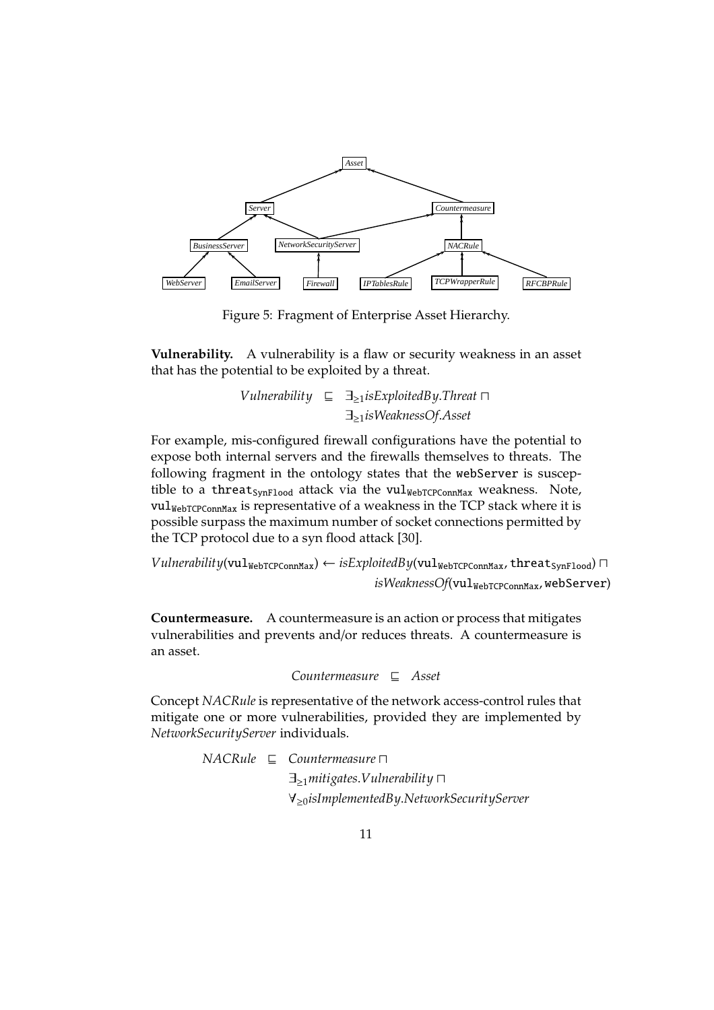

Figure 5: Fragment of Enterprise Asset Hierarchy.

**Vulnerability.** A vulnerability is a flaw or security weakness in an asset that has the potential to be exploited by a threat.

> *Vulnerability* ⊑ ∃≥1*isExploitedBy*.*Threat* ⊓ ∃≥1*isWeaknessOf*.*Asset*

For example, mis-configured firewall configurations have the potential to expose both internal servers and the firewalls themselves to threats. The following fragment in the ontology states that the webServer is susceptible to a threat  $_{SynFlood}$  attack via the vul<sub>WebTCPConnMax</sub> weakness. Note,  $\text{vul}_{\text{WebTCPConnMax}}$  is representative of a weakness in the TCP stack where it is possible surpass the maximum number of socket connections permitted by the TCP protocol due to a syn flood attack [30].

*Vulnerability*(vul<sub>WebTCPConnMax) ← *isExploitedBy*(vul<sub>WebTCPConnMax, threat<sub>SynFlood</sub>) □</sub></sub>  $isWeaknessOf(vul_{WebTCPConnMax}, \text{webServer})$ 

**Countermeasure.** A countermeasure is an action or process that mitigates vulnerabilities and prevents and/or reduces threats. A countermeasure is an asset.

$$
Countermeasure \subseteq Asset
$$

Concept *NACRule* is representative of the network access-control rules that mitigate one or more vulnerabilities, provided they are implemented by *NetworkSecurityServer* individuals.

> *NACRule* ⊑ *Countermeasure* ⊓ ∃≥1*mitigates*.*Vulnerability* ⊓ ∀≥0*isImplementedBy*.*NetworkSecurityServer*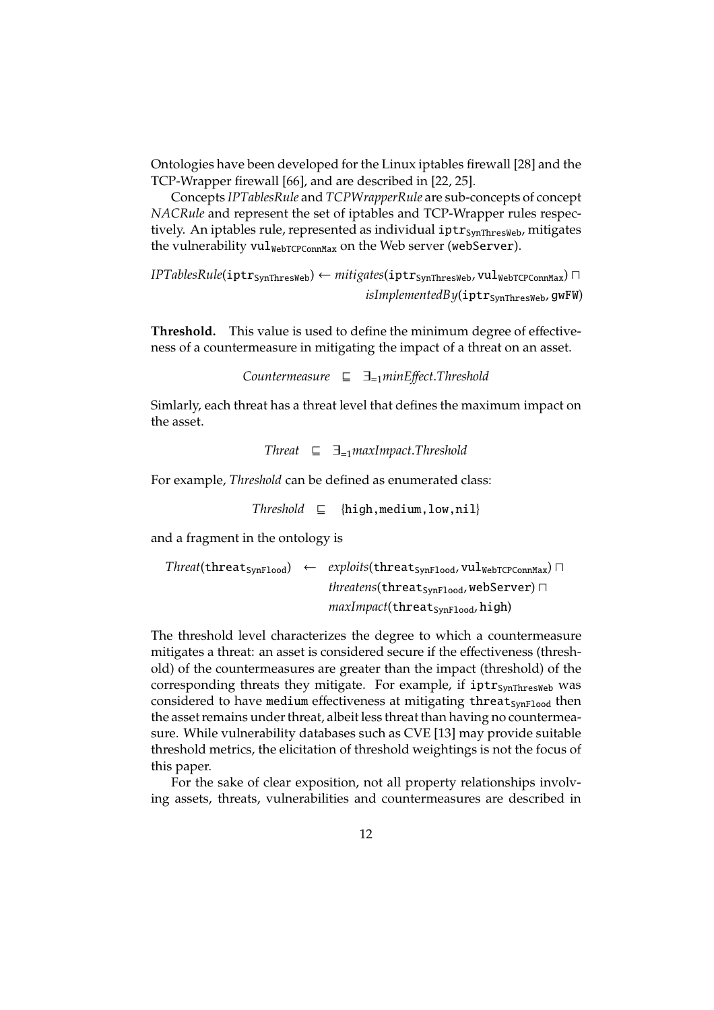Ontologies have been developed for the Linux iptables firewall [28] and the TCP-Wrapper firewall [66], and are described in [22, 25].

Concepts *IPTablesRule* and *TCPWrapperRule* are sub-concepts of concept *NACRule* and represent the set of iptables and TCP-Wrapper rules respectively. An iptables rule, represented as individual  $iptr<sub>SvnThresWeb</sub>$ , mitigates the vulnerability vul<sub>WebTCPConnMax</sub> on the Web server (webServer).

*IPTablesRule*(iptr<sub>SynThresWeb) ← *mitigates*(iptr<sub>SynThresWeb, vulWebTCPConnMax) □</sub></sub>  $isImplementedBy$ (iptr<sub>SvnThresWeb</sub>, gwFW)

**Threshold.** This value is used to define the minimum degree of effectiveness of a countermeasure in mitigating the impact of a threat on an asset.

*Countermeasure* ⊑ ∃=1*minE*ff*ect*.*Threshold*

Simlarly, each threat has a threat level that defines the maximum impact on the asset.

$$
Thread \quad \sqsubseteq \quad \exists_{=1} maxImport. Threshold
$$

For example, *Threshold* can be defined as enumerated class:

 $Threshold \subseteq$  {high, medium, low, nil}

and a fragment in the ontology is

$$
\begin{array}{rcl}\nThreat(\texttt{threads}_{\texttt{ynFload}}) & \leftarrow & exploits(\texttt{threads}_{\texttt{ynFload}}, \texttt{vul}_{\texttt{WebTCPConnMax}}) \sqcap \\
 & & threatens(\texttt{threads}_{\texttt{ynFload}}, \texttt{webServer}) \sqcap \\
 & \textit{maxImport}(\texttt{threads}_{\texttt{ynFload}}, \texttt{high})\n \end{array}
$$

The threshold level characterizes the degree to which a countermeasure mitigates a threat: an asset is considered secure if the effectiveness (threshold) of the countermeasures are greater than the impact (threshold) of the corresponding threats they mitigate. For example, if  $iptr<sub>SynThresWeb</sub>$  was considered to have medium effectiveness at mitigating threat<sub>SynFlood</sub> then the asset remains under threat, albeit less threat than having no countermeasure. While vulnerability databases such as CVE [13] may provide suitable threshold metrics, the elicitation of threshold weightings is not the focus of this paper.

For the sake of clear exposition, not all property relationships involving assets, threats, vulnerabilities and countermeasures are described in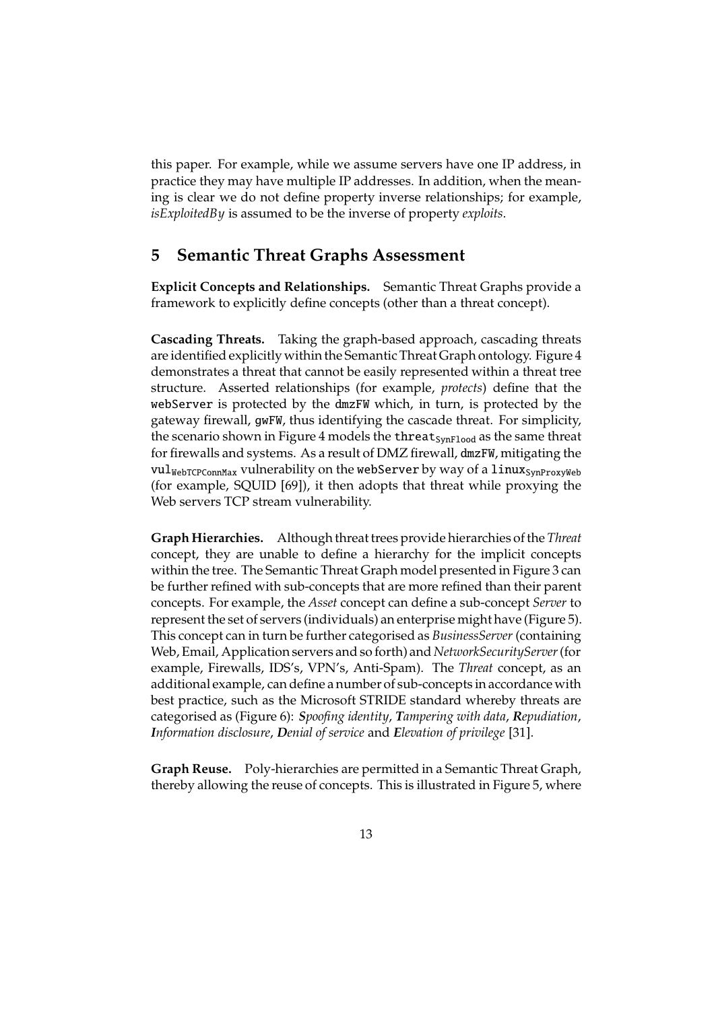this paper. For example, while we assume servers have one IP address, in practice they may have multiple IP addresses. In addition, when the meaning is clear we do not define property inverse relationships; for example, *isExploitedBy* is assumed to be the inverse of property *exploits*.

## **5 Semantic Threat Graphs Assessment**

**Explicit Concepts and Relationships.** Semantic Threat Graphs provide a framework to explicitly define concepts (other than a threat concept).

**Cascading Threats.** Taking the graph-based approach, cascading threats are identified explicitly within the Semantic Threat Graph ontology. Figure 4 demonstrates a threat that cannot be easily represented within a threat tree structure. Asserted relationships (for example, *protects*) define that the webServer is protected by the dmzFW which, in turn, is protected by the gateway firewall, gwFW, thus identifying the cascade threat. For simplicity, the scenario shown in Figure 4 models the threat<sub>SynFlood</sub> as the same threat for firewalls and systems. As a result of DMZ firewall, dmzFW, mitigating the  $\text{val}_{\text{WebTCPConnMax}}$  vulnerability on the webServer by way of a linux<sub>SynProxyWeb</sub> (for example, SQUID [69]), it then adopts that threat while proxying the Web servers TCP stream vulnerability.

**Graph Hierarchies.** Although threat trees provide hierarchies of the *Threat* concept, they are unable to define a hierarchy for the implicit concepts within the tree. The Semantic Threat Graph model presented in Figure 3 can be further refined with sub-concepts that are more refined than their parent concepts. For example, the *Asset* concept can define a sub-concept *Server* to represent the set of servers (individuals) an enterprise might have (Figure 5). This concept can in turn be further categorised as *BusinessServer* (containing Web, Email, Application servers and so forth) and *NetworkSecurityServer*(for example, Firewalls, IDS's, VPN's, Anti-Spam). The *Threat* concept, as an additional example, can define a number of sub-concepts in accordance with best practice, such as the Microsoft STRIDE standard whereby threats are categorised as (Figure 6): *Spoofing identity*, *Tampering with data*, *Repudiation*, *Information disclosure*, *Denial of service* and *Elevation of privilege* [31].

**Graph Reuse.** Poly-hierarchies are permitted in a Semantic Threat Graph, thereby allowing the reuse of concepts. This is illustrated in Figure 5, where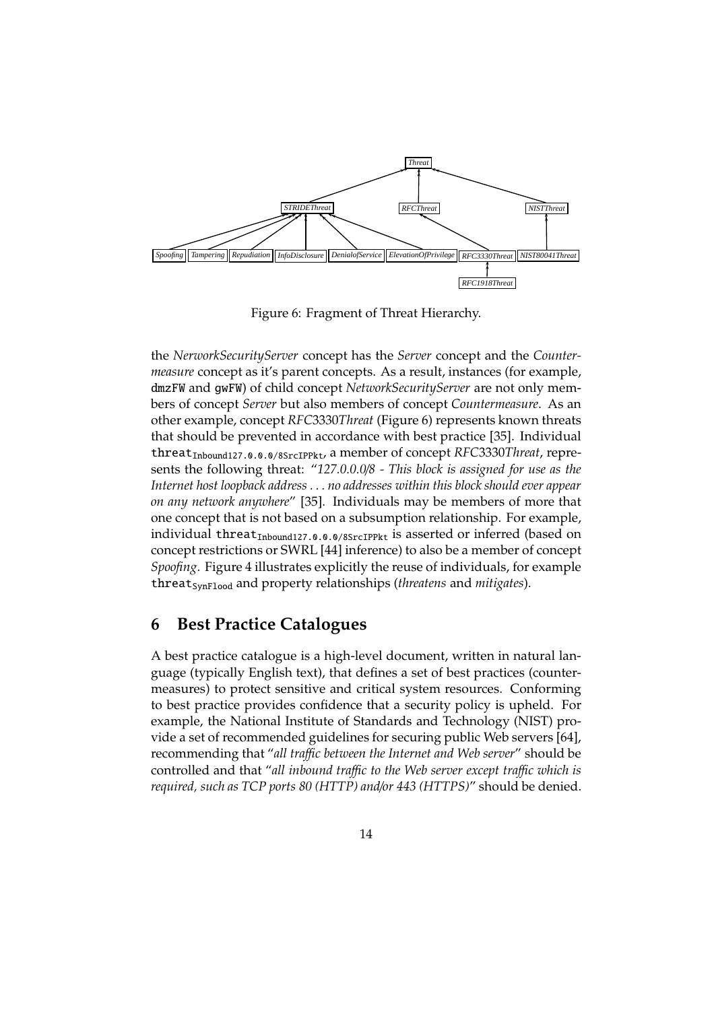

Figure 6: Fragment of Threat Hierarchy.

the *NerworkSecurityServer* concept has the *Server* concept and the *Countermeasure* concept as it's parent concepts. As a result, instances (for example, dmzFW and gwFW) of child concept *NetworkSecurityServer* are not only members of concept *Server* but also members of concept *Countermeasure*. As an other example, concept *RFC*3330*Threat* (Figure 6) represents known threats that should be prevented in accordance with best practice [35]. Individual threatInbound127.0.0.0/8SrcIPPkt, a member of concept *RFC*3330*Threat*, represents the following threat: "*127.0.0.0*/*8 - This block is assigned for use as the Internet host loopback address . . . no addresses within this block should ever appear on any network anywhere*" [35]. Individuals may be members of more that one concept that is not based on a subsumption relationship. For example, individual threat<sub>Inbound127.0.0.0/8SrcIPPkt</sub> is asserted or inferred (based on concept restrictions or SWRL [44] inference) to also be a member of concept *Spoofing*. Figure 4 illustrates explicitly the reuse of individuals, for example threat<sub>SynFlood</sub> and property relationships (*threatens* and *mitigates*).

## **6 Best Practice Catalogues**

A best practice catalogue is a high-level document, written in natural language (typically English text), that defines a set of best practices (countermeasures) to protect sensitive and critical system resources. Conforming to best practice provides confidence that a security policy is upheld. For example, the National Institute of Standards and Technology (NIST) provide a set of recommended guidelines for securing public Web servers [64], recommending that "*all tra*ffi*c between the Internet and Web server*" should be controlled and that "*all inbound tra*ffi*c to the Web server except tra*ffi*c which is required, such as TCP ports 80 (HTTP) and*/*or 443 (HTTPS)*" should be denied.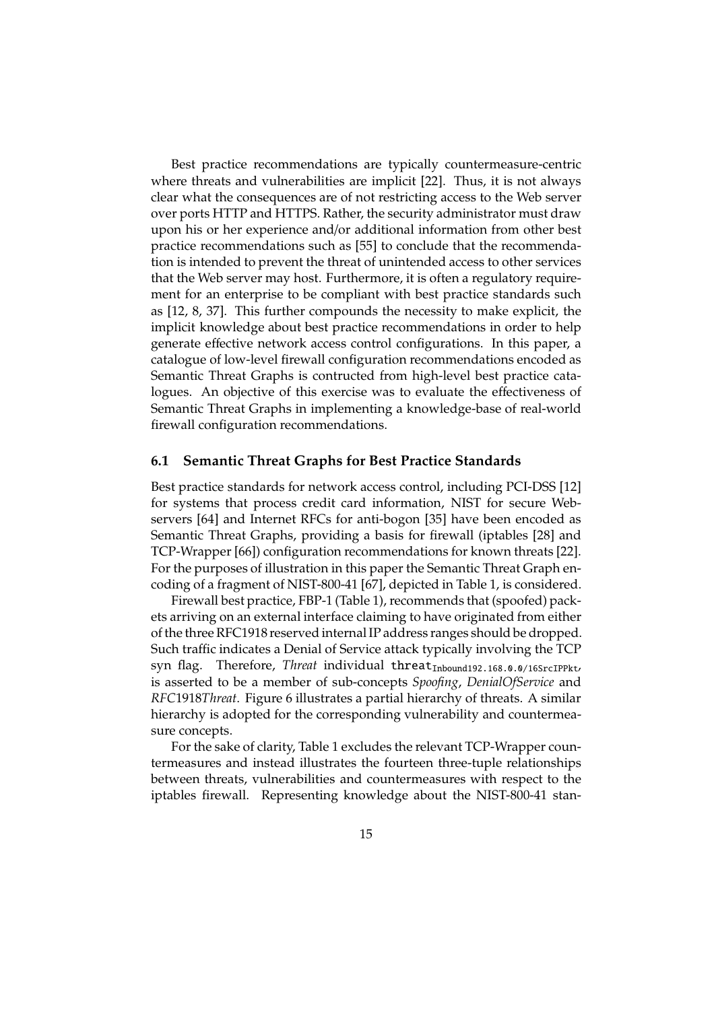Best practice recommendations are typically countermeasure-centric where threats and vulnerabilities are implicit [22]. Thus, it is not always clear what the consequences are of not restricting access to the Web server over ports HTTP and HTTPS. Rather, the security administrator must draw upon his or her experience and/or additional information from other best practice recommendations such as [55] to conclude that the recommendation is intended to prevent the threat of unintended access to other services that the Web server may host. Furthermore, it is often a regulatory requirement for an enterprise to be compliant with best practice standards such as [12, 8, 37]. This further compounds the necessity to make explicit, the implicit knowledge about best practice recommendations in order to help generate effective network access control configurations. In this paper, a catalogue of low-level firewall configuration recommendations encoded as Semantic Threat Graphs is contructed from high-level best practice catalogues. An objective of this exercise was to evaluate the effectiveness of Semantic Threat Graphs in implementing a knowledge-base of real-world firewall configuration recommendations.

#### **6.1 Semantic Threat Graphs for Best Practice Standards**

Best practice standards for network access control, including PCI-DSS [12] for systems that process credit card information, NIST for secure Webservers [64] and Internet RFCs for anti-bogon [35] have been encoded as Semantic Threat Graphs, providing a basis for firewall (iptables [28] and TCP-Wrapper [66]) configuration recommendations for known threats [22]. For the purposes of illustration in this paper the Semantic Threat Graph encoding of a fragment of NIST-800-41 [67], depicted in Table 1, is considered.

Firewall best practice, FBP-1 (Table 1), recommends that (spoofed) packets arriving on an external interface claiming to have originated from either of the three RFC1918 reserved internal IP address ranges should be dropped. Such traffic indicates a Denial of Service attack typically involving the TCP syn flag. Therefore, *Threat* individual threat<sub>Inbound192.168.0.0/16SrcIPPkt,</sub> is asserted to be a member of sub-concepts *Spoofing*, *DenialOfService* and *RFC*1918*Threat*. Figure 6 illustrates a partial hierarchy of threats. A similar hierarchy is adopted for the corresponding vulnerability and countermeasure concepts.

For the sake of clarity, Table 1 excludes the relevant TCP-Wrapper countermeasures and instead illustrates the fourteen three-tuple relationships between threats, vulnerabilities and countermeasures with respect to the iptables firewall. Representing knowledge about the NIST-800-41 stan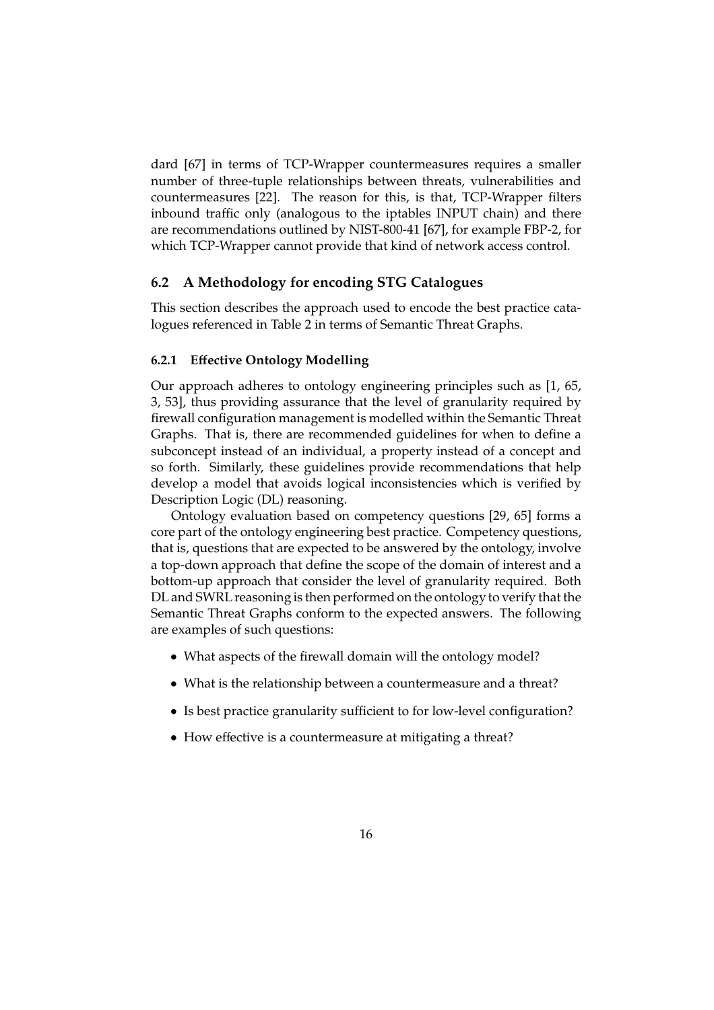dard [67] in terms of TCP-Wrapper countermeasures requires a smaller number of three-tuple relationships between threats, vulnerabilities and countermeasures [22]. The reason for this, is that, TCP-Wrapper filters inbound traffic only (analogous to the iptables INPUT chain) and there are recommendations outlined by NIST-800-41 [67], for example FBP-2, for which TCP-Wrapper cannot provide that kind of network access control.

### **6.2 A Methodology for encoding STG Catalogues**

This section describes the approach used to encode the best practice catalogues referenced in Table 2 in terms of Semantic Threat Graphs.

#### **6.2.1 E**ff**ective Ontology Modelling**

Our approach adheres to ontology engineering principles such as [1, 65, 3, 53], thus providing assurance that the level of granularity required by firewall configuration management is modelled within the Semantic Threat Graphs. That is, there are recommended guidelines for when to define a subconcept instead of an individual, a property instead of a concept and so forth. Similarly, these guidelines provide recommendations that help develop a model that avoids logical inconsistencies which is verified by Description Logic (DL) reasoning.

Ontology evaluation based on competency questions [29, 65] forms a core part of the ontology engineering best practice. Competency questions, that is, questions that are expected to be answered by the ontology, involve a top-down approach that define the scope of the domain of interest and a bottom-up approach that consider the level of granularity required. Both DL and SWRL reasoning is then performed on the ontology to verify that the Semantic Threat Graphs conform to the expected answers. The following are examples of such questions:

- What aspects of the firewall domain will the ontology model?
- What is the relationship between a countermeasure and a threat?
- Is best practice granularity sufficient to for low-level configuration?
- How effective is a countermeasure at mitigating a threat?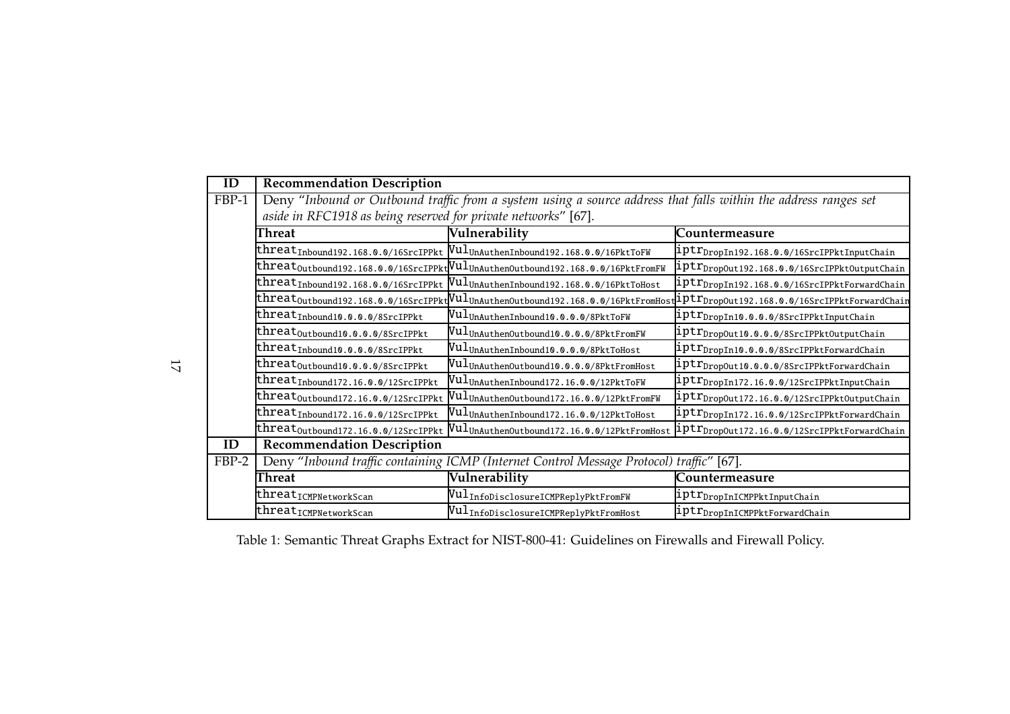| ID    | <b>Recommendation Description</b>                                                                               |                                                                                                                  |                                                                                                                                                            |  |  |  |
|-------|-----------------------------------------------------------------------------------------------------------------|------------------------------------------------------------------------------------------------------------------|------------------------------------------------------------------------------------------------------------------------------------------------------------|--|--|--|
| FBP-1 | Deny "Inbound or Outbound traffic from a system using a source address that falls within the address ranges set |                                                                                                                  |                                                                                                                                                            |  |  |  |
|       | aside in RFC1918 as being reserved for private networks" [67].                                                  |                                                                                                                  |                                                                                                                                                            |  |  |  |
|       | Threat                                                                                                          | Vulnerability                                                                                                    | Countermeasure                                                                                                                                             |  |  |  |
|       | threat <sub>Inbound192.168.0.0/16SrcIPPkt</sub>                                                                 | WulunAuthenInbound192.168.0.0/16PktToFW                                                                          | 1ptr <sub>DropIn192.168.0.0/16SrcIPPktInputChain</sub>                                                                                                     |  |  |  |
|       |                                                                                                                 | threat <sub>Outbound</sub> 192.168.0.0/16SrcIPPkt $\text{Null}_{\text{UnAuthenOutbound192.168.0.0/16PktFromFW}}$ | $\vert \text{iptr}_{\text{DropOut192.168.0.0/16SrcIPPttOutputChain} \vert$                                                                                 |  |  |  |
|       | threat <sub>Inbound</sub> 192.168.0.0/16SrcIPPkt                                                                | VulunAuthenInbound192.168.0.0/16PktToHost                                                                        | 1ptr <sub>DropIn192.168.0.0/16SrcIPPktForwardChain</sub>                                                                                                   |  |  |  |
|       |                                                                                                                 |                                                                                                                  | $\textrm{threat}$ Outbound192.168.0.0/16SrcIPPkt $\rm{[Vul_{UnAuthenOutbound192.168.0.0/16PktFromHost} \&lptr_{DropOut192.168.0.0/16SrcIPPktForwardChain}$ |  |  |  |
|       | threat <sub>Inbound10.0.0.0/8SrcIPPkt</sub>                                                                     | $\texttt{Null}_{\texttt{UnAuthenticationInbound10.0.0.0/8PttToFW}}$                                              | iptr <sub>DropIn10.0.0.0/8SrcIPPktInputChain</sub>                                                                                                         |  |  |  |
|       | threat <sub>Outbound10.0.0.0/8SrcIPPkt</sub>                                                                    | $\texttt{[Vul}_{\texttt{UnAuthenticationOutbound10.0.0.0/8PktFromFW}]}$                                          | iptr <sub>DropOut10.0.0.0/8SrcIPPktOutputChain</sub>                                                                                                       |  |  |  |
|       | threat <sub>Inbound10.0.0.0/8SrcIPPkt</sub>                                                                     | Vul <sub>UnAuthenInbound10.0.0.0/8PktToHost</sub>                                                                | iptr <sub>DropIn10.0.0.0/8SrcIPPktForwardChain</sub>                                                                                                       |  |  |  |
|       | threat <sub>Outbound10.0.0.0/8SrcIPPkt</sub>                                                                    | Vul <sub>UnAuthenOutbound10.0.0.0/8PktFromHost</sub>                                                             | iptr <sub>DropOut10.0.0.0/8SrcIPPktForwardChain</sub>                                                                                                      |  |  |  |
|       | threat <sub>Inbound172.16.0.0/12SrcIPPkt</sub>                                                                  | $\texttt{Null}_{\texttt{UnAuthenticationInbound172.16.0.0/12PktToFW}}$                                           | iptr <sub>DropIn172.16.0.0/12SrcIPPktInputChain</sub>                                                                                                      |  |  |  |
|       | threat <sub>Outbound172.16.0.0/12SrcIPPkt</sub>                                                                 | $\texttt{Vul}_{\texttt{UnAuthenticationOutbound172.16.0.0/12PktFromFW}}$                                         | iptr <sub>DropOut172.16.0.0/12SrcIPPktOutputChain</sub>                                                                                                    |  |  |  |
|       | threat <sub>Inbound172.16.0.0/12SrcIPPkt</sub>                                                                  | $\texttt{Null}_{\texttt{UnAuthenticationInbound172.16.0.0/12PttToHost}}$                                         | $\mathtt{iptr}_{\mathtt{DropIn172.16.0.0/12SrcIPPttForwardChain}}$                                                                                         |  |  |  |
|       | threat <sub>Outbound172.16.0.0/12SrcIPPkt</sub>                                                                 | VulunAuthenOutbound172.16.0.0/12PktFromHost                                                                      | iptr <sub>DropOut172.16.0.0/12SrcIPPktForwardChain</sub>                                                                                                   |  |  |  |
| ID    | <b>Recommendation Description</b>                                                                               |                                                                                                                  |                                                                                                                                                            |  |  |  |
| FBP-2 | Deny "Inbound traffic containing ICMP (Internet Control Message Protocol) traffic" [67].                        |                                                                                                                  |                                                                                                                                                            |  |  |  |
|       | Threat                                                                                                          | Vulnerability                                                                                                    | Countermeasure                                                                                                                                             |  |  |  |
|       | threat <sub>ICMPNetworkScan</sub>                                                                               | $\mathtt{Null}_{\mathtt{InfoDisclosureICMPReplyPktromFW}}$                                                       | iptr <sub>DropInICMPPktInputChain</sub>                                                                                                                    |  |  |  |
|       | threat <sub>ICMPNetworkScan</sub>                                                                               | $\mathtt{Null}_{\mathtt{InfoDisclosureICMPReplyPktFromHost}}$                                                    | iptr <sub>DropInICMPPktForwardChain</sub>                                                                                                                  |  |  |  |

Table 1: Semantic Threat Graphs Extract for NIST-800-41: Guidelines on Firewalls and Firewall Policy.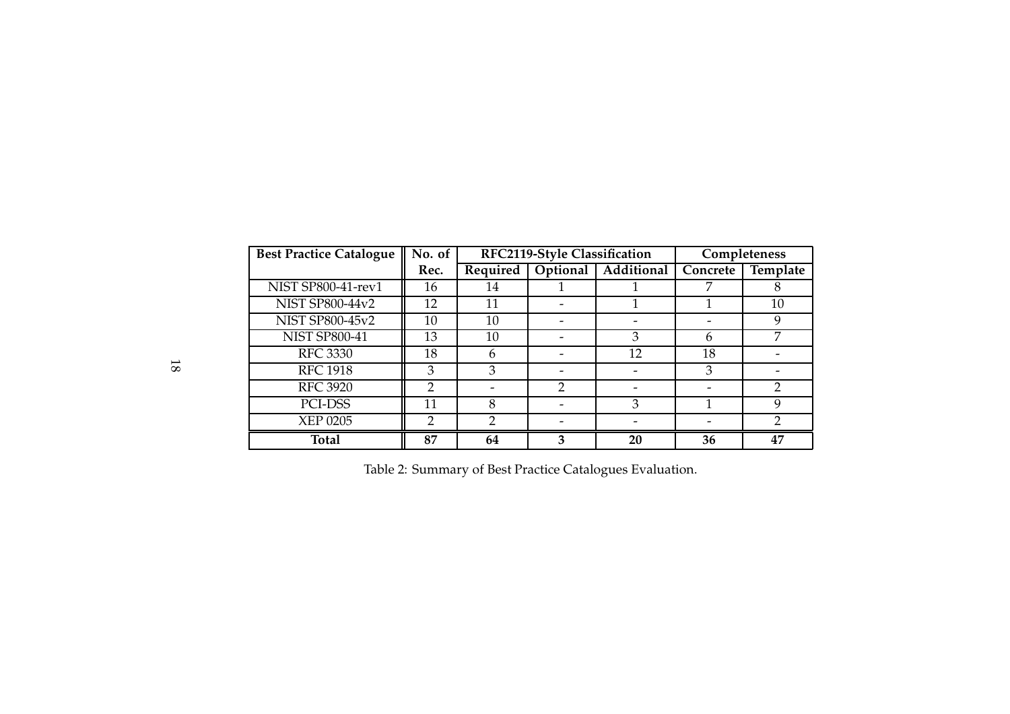| <b>Best Practice Catalogue</b> | No. of | RFC2119-Style Classification |          |            | Completeness |          |
|--------------------------------|--------|------------------------------|----------|------------|--------------|----------|
|                                | Rec.   | Required                     | Optional | Additional | Concrete     | Template |
| NIST SP800-41-rev1             | 16     | 14                           |          |            |              |          |
| <b>NIST SP800-44v2</b>         | 12     | 11                           |          |            |              | 10       |
| <b>NIST SP800-45v2</b>         | 10     | 10                           |          |            |              | 9        |
| <b>NIST SP800-41</b>           | 13     | 10                           |          | 3          | h            |          |
| <b>RFC 3330</b>                | 18     | 6                            |          | 12         | 18           |          |
| <b>RFC 1918</b>                | 3      | 3                            |          |            | 3            |          |
| <b>RFC 3920</b>                | 2      |                              | າ        |            |              |          |
| PCI-DSS                        | 11     | 8                            |          | 3          |              | 9        |
| <b>XEP 0205</b>                | 2      | 2                            |          |            |              | っ        |
| <b>Total</b>                   | 87     | 64                           |          | 20         | 36           | 47       |

Table 2: Summary of Best Practice Catalogues Evaluation.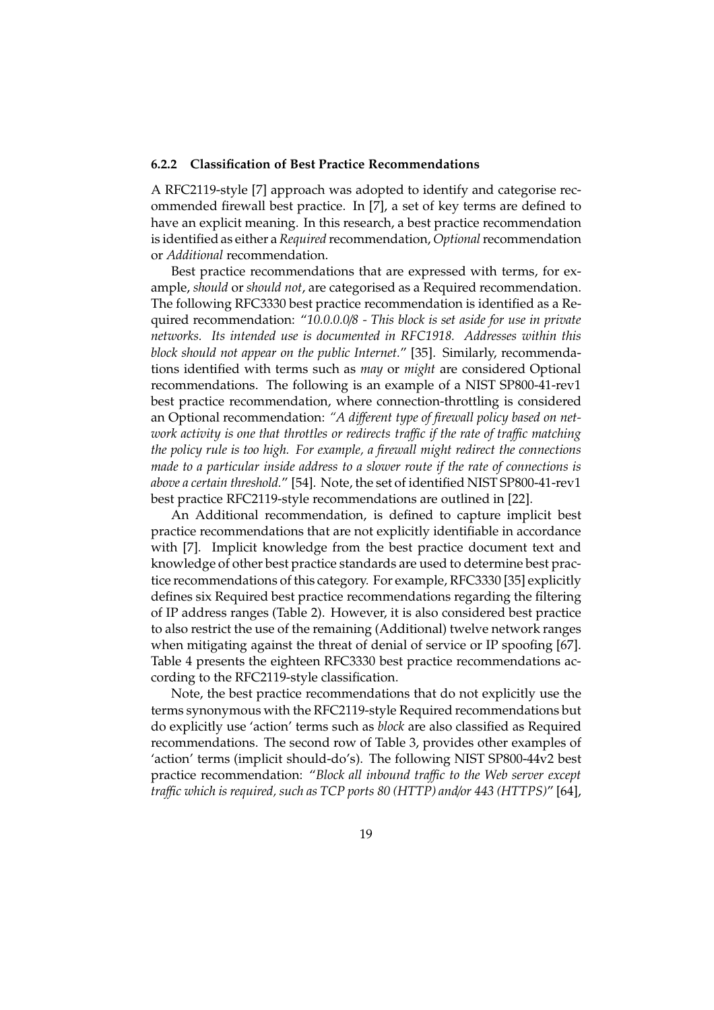#### **6.2.2 Classification of Best Practice Recommendations**

A RFC2119-style [7] approach was adopted to identify and categorise recommended firewall best practice. In [7], a set of key terms are defined to have an explicit meaning. In this research, a best practice recommendation is identified as either a *Required* recommendation, *Optional*recommendation or *Additional* recommendation.

Best practice recommendations that are expressed with terms, for example, *should* or *should not*, are categorised as a Required recommendation. The following RFC3330 best practice recommendation is identified as a Required recommendation: "*10.0.0.0*/*8 - This block is set aside for use in private networks. Its intended use is documented in RFC1918. Addresses within this block should not appear on the public Internet.*" [35]. Similarly, recommendations identified with terms such as *may* or *might* are considered Optional recommendations. The following is an example of a NIST SP800-41-rev1 best practice recommendation, where connection-throttling is considered an Optional recommendation: *"A di*ff*erent type of firewall policy based on network activity is one that throttles or redirects tra*ffi*c if the rate of tra*ffi*c matching the policy rule is too high. For example, a firewall might redirect the connections made to a particular inside address to a slower route if the rate of connections is above a certain threshold.*" [54]. Note, the set of identified NIST SP800-41-rev1 best practice RFC2119-style recommendations are outlined in [22].

An Additional recommendation, is defined to capture implicit best practice recommendations that are not explicitly identifiable in accordance with [7]. Implicit knowledge from the best practice document text and knowledge of other best practice standards are used to determine best practice recommendations of this category. For example, RFC3330 [35] explicitly defines six Required best practice recommendations regarding the filtering of IP address ranges (Table 2). However, it is also considered best practice to also restrict the use of the remaining (Additional) twelve network ranges when mitigating against the threat of denial of service or IP spoofing [67]. Table 4 presents the eighteen RFC3330 best practice recommendations according to the RFC2119-style classification.

Note, the best practice recommendations that do not explicitly use the terms synonymous with the RFC2119-style Required recommendations but do explicitly use 'action' terms such as *block* are also classified as Required recommendations. The second row of Table 3, provides other examples of 'action' terms (implicit should-do's). The following NIST SP800-44v2 best practice recommendation: "*Block all inbound tra*ffi*c to the Web server except tra*ffi*c which is required, such as TCP ports 80 (HTTP) and*/*or 443 (HTTPS)*" [64],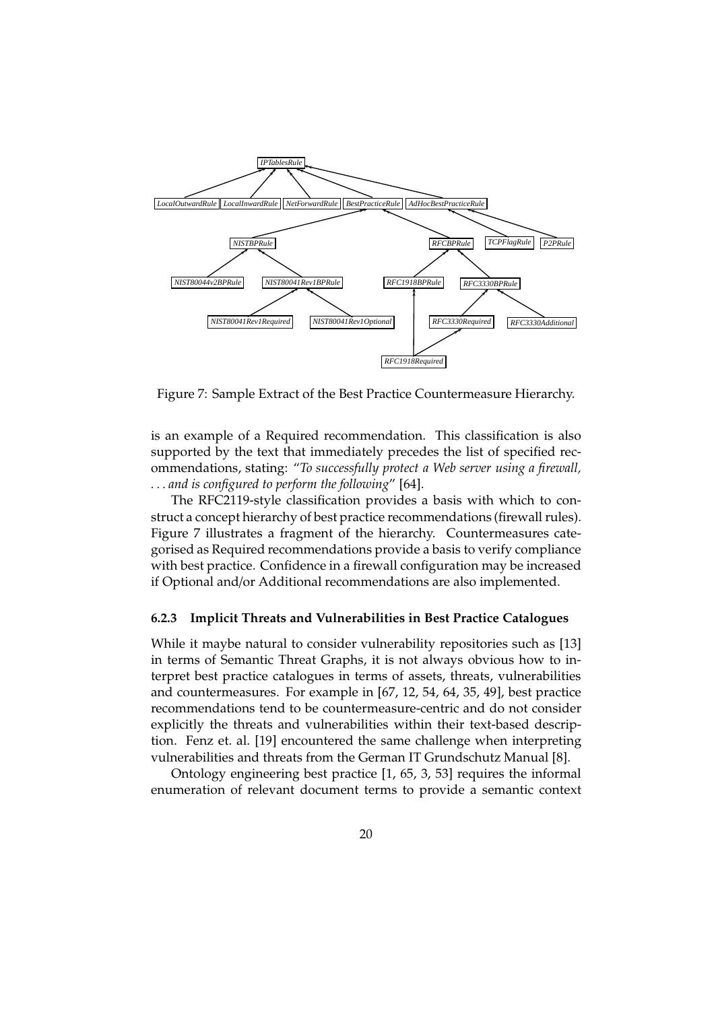

Figure 7: Sample Extract of the Best Practice Countermeasure Hierarchy.

is an example of a Required recommendation. This classification is also supported by the text that immediately precedes the list of specified recommendations, stating: "*To successfully protect a Web server using a firewall, . . . and is configured to perform the following*" [64].

The RFC2119-style classification provides a basis with which to construct a concept hierarchy of best practice recommendations (firewall rules). Figure 7 illustrates a fragment of the hierarchy. Countermeasures categorised as Required recommendations provide a basis to verify compliance with best practice. Confidence in a firewall configuration may be increased if Optional and/or Additional recommendations are also implemented.

#### **6.2.3 Implicit Threats and Vulnerabilities in Best Practice Catalogues**

While it maybe natural to consider vulnerability repositories such as [13] in terms of Semantic Threat Graphs, it is not always obvious how to interpret best practice catalogues in terms of assets, threats, vulnerabilities and countermeasures. For example in [67, 12, 54, 64, 35, 49], best practice recommendations tend to be countermeasure-centric and do not consider explicitly the threats and vulnerabilities within their text-based description. Fenz et. al. [19] encountered the same challenge when interpreting vulnerabilities and threats from the German IT Grundschutz Manual [8].

Ontology engineering best practice [1, 65, 3, 53] requires the informal enumeration of relevant document terms to provide a semantic context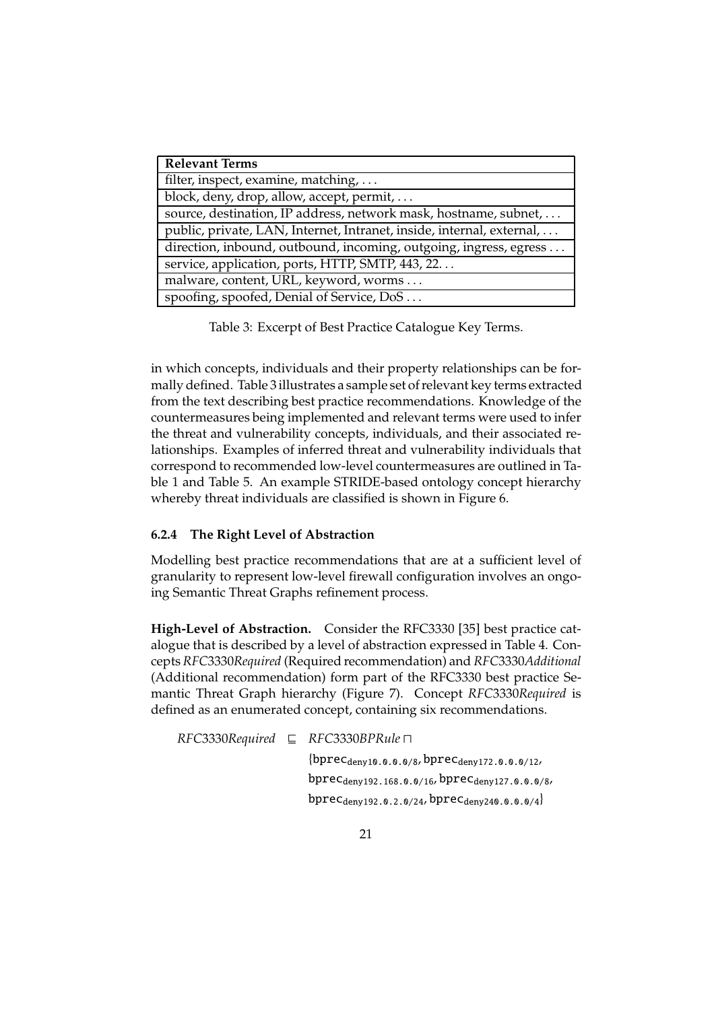| <b>Relevant Terms</b>                                                 |
|-----------------------------------------------------------------------|
| filter, inspect, examine, matching,                                   |
| block, deny, drop, allow, accept, permit,                             |
| source, destination, IP address, network mask, hostname, subnet,      |
| public, private, LAN, Internet, Intranet, inside, internal, external, |
| direction, inbound, outbound, incoming, outgoing, ingress, egress     |
| service, application, ports, HTTP, SMTP, 443, 22                      |
| malware, content, URL, keyword, worms                                 |
| spoofing, spoofed, Denial of Service, DoS                             |

Table 3: Excerpt of Best Practice Catalogue Key Terms.

in which concepts, individuals and their property relationships can be formally defined. Table 3 illustrates a sample set of relevant key terms extracted from the text describing best practice recommendations. Knowledge of the countermeasures being implemented and relevant terms were used to infer the threat and vulnerability concepts, individuals, and their associated relationships. Examples of inferred threat and vulnerability individuals that correspond to recommended low-level countermeasures are outlined in Table 1 and Table 5. An example STRIDE-based ontology concept hierarchy whereby threat individuals are classified is shown in Figure 6.

### **6.2.4 The Right Level of Abstraction**

Modelling best practice recommendations that are at a sufficient level of granularity to represent low-level firewall configuration involves an ongoing Semantic Threat Graphs refinement process.

**High-Level of Abstraction.** Consider the RFC3330 [35] best practice catalogue that is described by a level of abstraction expressed in Table 4. Concepts *RFC*3330*Required* (Required recommendation) and *RFC*3330*Additional* (Additional recommendation) form part of the RFC3330 best practice Semantic Threat Graph hierarchy (Figure 7). Concept *RFC*3330*Required* is defined as an enumerated concept, containing six recommendations.

*RFC*3330*Required* ⊑ *RFC*3330*BPRule* ⊓  ${bprec_{deny10.0.0.0/8, bprec_{deny172.0.0.0/12}}$ bprecdeny192.168.0.0/16, bprecdeny127.0.0.0/8, bprec<sub>deny192.0.2.0/24</sub>, bprec<sub>deny240.0.0.0/4</sub>}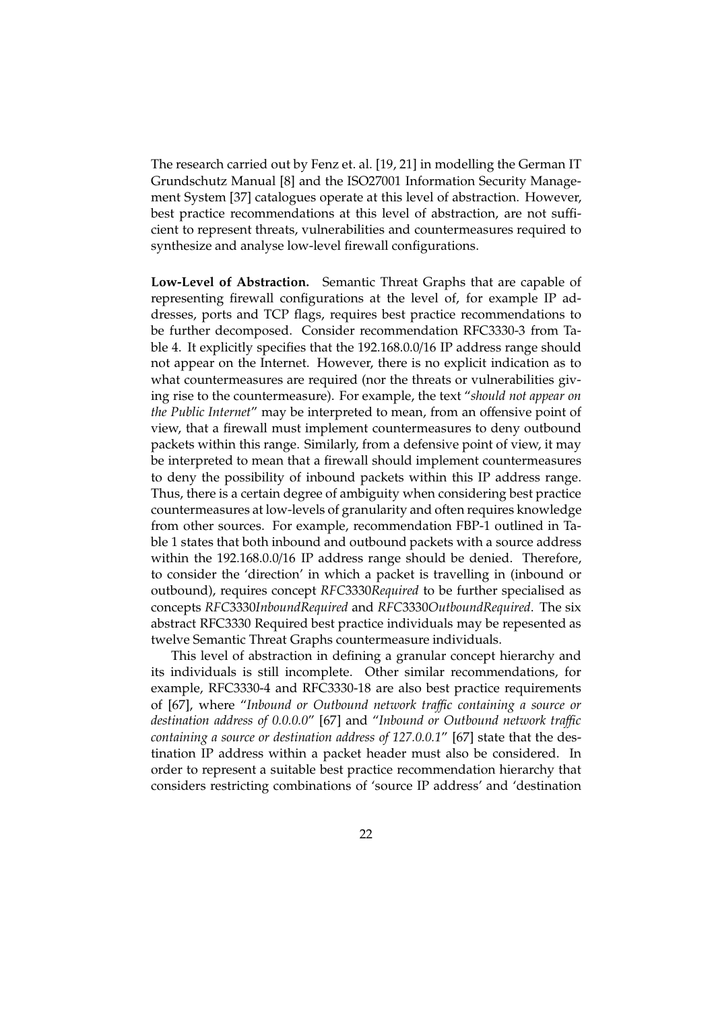The research carried out by Fenz et. al. [19, 21] in modelling the German IT Grundschutz Manual [8] and the ISO27001 Information Security Management System [37] catalogues operate at this level of abstraction. However, best practice recommendations at this level of abstraction, are not sufficient to represent threats, vulnerabilities and countermeasures required to synthesize and analyse low-level firewall configurations.

**Low-Level of Abstraction.** Semantic Threat Graphs that are capable of representing firewall configurations at the level of, for example IP addresses, ports and TCP flags, requires best practice recommendations to be further decomposed. Consider recommendation RFC3330-3 from Table 4. It explicitly specifies that the 192.168.0.0/16 IP address range should not appear on the Internet. However, there is no explicit indication as to what countermeasures are required (nor the threats or vulnerabilities giving rise to the countermeasure). For example, the text "*should not appear on the Public Internet*" may be interpreted to mean, from an offensive point of view, that a firewall must implement countermeasures to deny outbound packets within this range. Similarly, from a defensive point of view, it may be interpreted to mean that a firewall should implement countermeasures to deny the possibility of inbound packets within this IP address range. Thus, there is a certain degree of ambiguity when considering best practice countermeasures at low-levels of granularity and often requires knowledge from other sources. For example, recommendation FBP-1 outlined in Table 1 states that both inbound and outbound packets with a source address within the 192.168.0.0/16 IP address range should be denied. Therefore, to consider the 'direction' in which a packet is travelling in (inbound or outbound), requires concept *RFC*3330*Required* to be further specialised as concepts *RFC*3330*InboundRequired* and *RFC*3330*OutboundRequired*. The six abstract RFC3330 Required best practice individuals may be repesented as twelve Semantic Threat Graphs countermeasure individuals.

This level of abstraction in defining a granular concept hierarchy and its individuals is still incomplete. Other similar recommendations, for example, RFC3330-4 and RFC3330-18 are also best practice requirements of [67], where "*Inbound or Outbound network tra*ffi*c containing a source or destination address of 0.0.0.0*" [67] and "*Inbound or Outbound network tra*ffi*c containing a source or destination address of 127.0.0.1*" [67] state that the destination IP address within a packet header must also be considered. In order to represent a suitable best practice recommendation hierarchy that considers restricting combinations of 'source IP address' and 'destination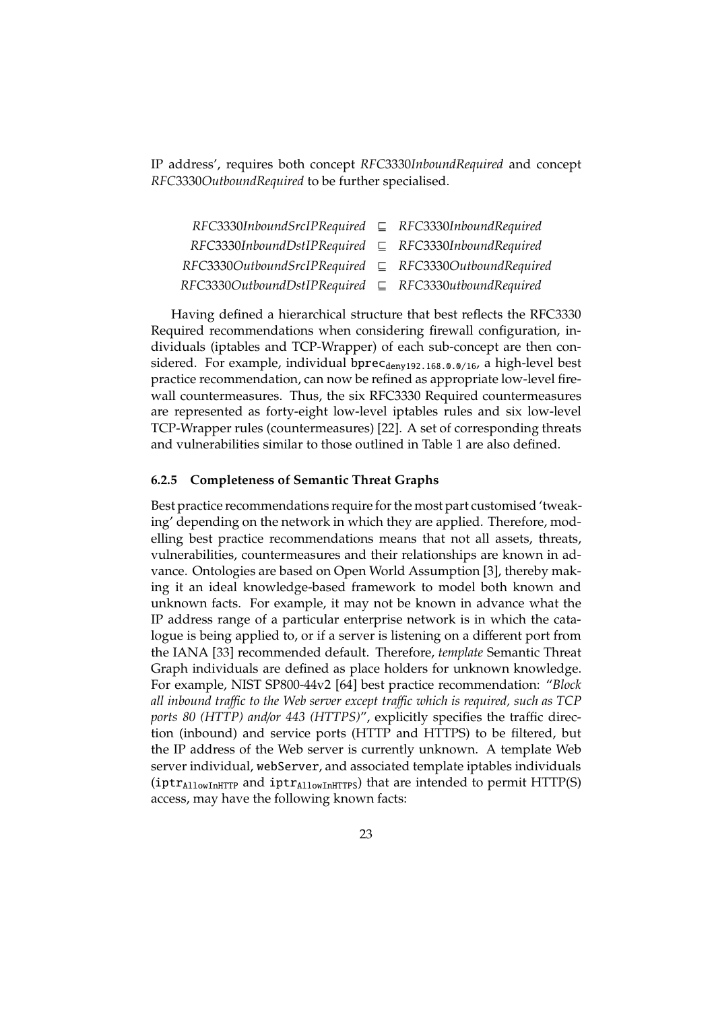IP address', requires both concept *RFC*3330*InboundRequired* and concept *RFC*3330*OutboundRequired* to be further specialised.

| $RFC3330$ InboundSrcIPRequired $\subseteq$ RFC3330InboundRequired |  |
|-------------------------------------------------------------------|--|
| $RFC3330$ InboundDstIPRequired $\subseteq$ RFC3330InboundRequired |  |
| $RFC3330OutboundSrcIPRequired \subseteq RFC3330OutboundRequired$  |  |
| $RFC3330OutboundDstIPRequired \subseteq RFC3330utboundRequired$   |  |

Having defined a hierarchical structure that best reflects the RFC3330 Required recommendations when considering firewall configuration, individuals (iptables and TCP-Wrapper) of each sub-concept are then considered. For example, individual bprec $_{\text{denv192.168.0.0/16}}$ , a high-level best practice recommendation, can now be refined as appropriate low-level firewall countermeasures. Thus, the six RFC3330 Required countermeasures are represented as forty-eight low-level iptables rules and six low-level TCP-Wrapper rules (countermeasures) [22]. A set of corresponding threats and vulnerabilities similar to those outlined in Table 1 are also defined.

#### **6.2.5 Completeness of Semantic Threat Graphs**

Best practice recommendations require for the most part customised 'tweaking' depending on the network in which they are applied. Therefore, modelling best practice recommendations means that not all assets, threats, vulnerabilities, countermeasures and their relationships are known in advance. Ontologies are based on Open World Assumption [3], thereby making it an ideal knowledge-based framework to model both known and unknown facts. For example, it may not be known in advance what the IP address range of a particular enterprise network is in which the catalogue is being applied to, or if a server is listening on a different port from the IANA [33] recommended default. Therefore, *template* Semantic Threat Graph individuals are defined as place holders for unknown knowledge. For example, NIST SP800-44v2 [64] best practice recommendation: "*Block all inbound tra*ffi*c to the Web server except tra*ffi*c which is required, such as TCP ports 80 (HTTP) and*/*or 443 (HTTPS)*", explicitly specifies the traffic direction (inbound) and service ports (HTTP and HTTPS) to be filtered, but the IP address of the Web server is currently unknown. A template Web server individual, webServer, and associated template iptables individuals  $(iptr<sub>AllowInHTTP</sub>$  and  $iptr<sub>AllowInHTTP</sub>$ ) that are intended to permit  $HTTP(S)$ access, may have the following known facts: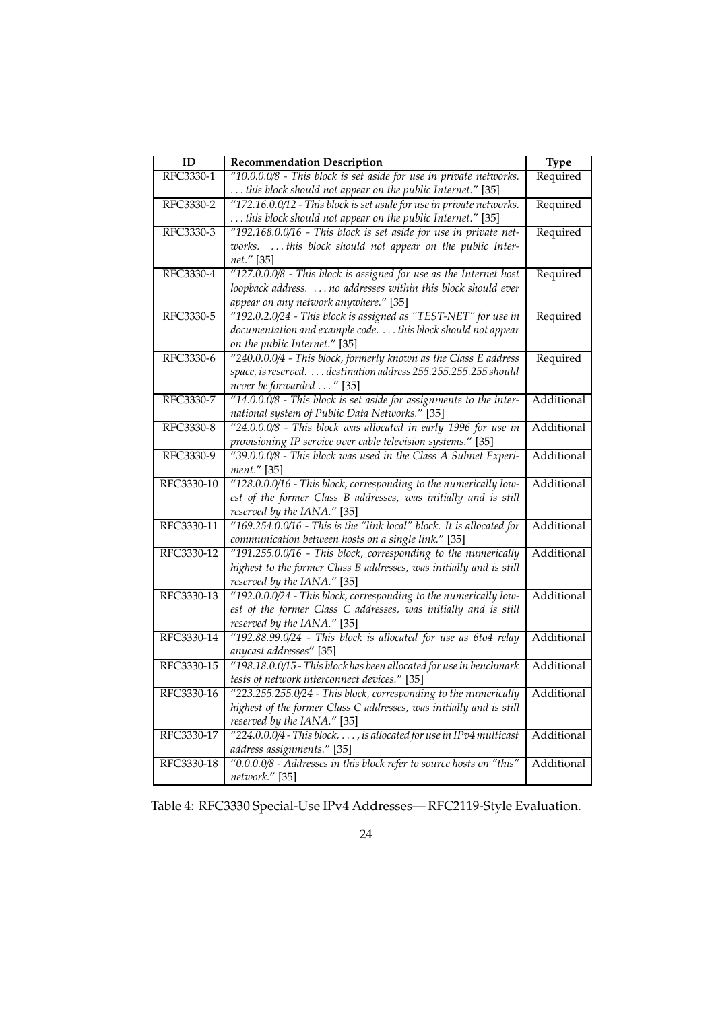| ID         | <b>Recommendation Description</b>                                                                                                       | <b>Type</b>       |
|------------|-----------------------------------------------------------------------------------------------------------------------------------------|-------------------|
| RFC3330-1  | "10.0.0.0/8 - This block is set aside for use in private networks.                                                                      | Required          |
|            | this block should not appear on the public Internet." [35]                                                                              |                   |
| RFC3330-2  | "172.16.0.0/12 - This block is set aside for use in private networks.                                                                   | Required          |
|            | this block should not appear on the public Internet." [35]                                                                              |                   |
| RFC3330-3  | "192.168.0.0/16 - This block is set aside for use in private net-                                                                       | Required          |
|            | works.  this block should not appear on the public Inter-                                                                               |                   |
|            | net." [35]                                                                                                                              |                   |
| RFC3330-4  | "127.0.0.0/8 - This block is assigned for use as the Internet host                                                                      | Required          |
|            | loopback address.  no addresses within this block should ever                                                                           |                   |
|            | appear on any network anywhere." [35]                                                                                                   |                   |
| RFC3330-5  | "192.0.2.0/24 - This block is assigned as "TEST-NET" for use in                                                                         | Required          |
|            | documentation and example code. this block should not appear                                                                            |                   |
|            | on the public Internet." [35]                                                                                                           |                   |
| RFC3330-6  | "240.0.0.0/4 - This block, formerly known as the Class E address                                                                        | Required          |
|            | space, is reserved.  destination address 255.255.255.255 should                                                                         |                   |
|            | never be forwarded " [35]                                                                                                               |                   |
| RFC3330-7  | "14.0.0.0/8 - This block is set aside for assignments to the inter-                                                                     | Additional        |
|            | national system of Public Data Networks." [35]                                                                                          |                   |
| RFC3330-8  | "24.0.0.0/8 - This block was allocated in early 1996 for use in                                                                         | <b>Additional</b> |
|            | provisioning IP service over cable television systems." [35]                                                                            |                   |
| RFC3330-9  | "39.0.0.0/8 - This block was used in the Class A Subnet Experi-                                                                         | Additional        |
|            | ment." [35]                                                                                                                             |                   |
| RFC3330-10 | "128.0.0.0/16 - This block, corresponding to the numerically low-                                                                       | Additional        |
|            | est of the former Class B addresses, was initially and is still                                                                         |                   |
|            | reserved by the IANA." [35]                                                                                                             |                   |
| RFC3330-11 | "169.254.0.0/16 - This is the "link local" block. It is allocated for                                                                   | Additional        |
|            | communication between hosts on a single link." [35]                                                                                     |                   |
| RFC3330-12 | "191.255.0.0/16 - This block, corresponding to the numerically                                                                          | Additional        |
|            | highest to the former Class B addresses, was initially and is still                                                                     |                   |
|            | reserved by the IANA." [35]                                                                                                             |                   |
| RFC3330-13 | "192.0.0.0/24 - This block, corresponding to the numerically low-                                                                       | Additional        |
|            | est of the former Class C addresses, was initially and is still                                                                         |                   |
| RFC3330-14 | reserved by the IANA." [35]                                                                                                             |                   |
|            | "192.88.99.0/24 - This block is allocated for use as 6to4 relay                                                                         | Additional        |
| RFC3330-15 | anycast addresses" [35]                                                                                                                 | Additional        |
|            | "198.18.0.0/15 - This block has been allocated for use in benchmark<br>tests of network interconnect devices." [35]                     |                   |
|            |                                                                                                                                         |                   |
| RFC3330-16 | "223.255.255.0/24 - This block, corresponding to the numerically<br>highest of the former Class C addresses, was initially and is still | Additional        |
|            | reserved by the IANA." [35]                                                                                                             |                   |
| RFC3330-17 | "224.0.0.0/4 - This block, , is allocated for use in IPv4 multicast                                                                     | Additional        |
|            | address assignments." [35]                                                                                                              |                   |
| RFC3330-18 | "0.0.0.0/8 - Addresses in this block refer to source hosts on "this"                                                                    | Additional        |
|            | network." [35]                                                                                                                          |                   |
|            |                                                                                                                                         |                   |

Table 4: RFC3330 Special-Use IPv4 Addresses— RFC2119-Style Evaluation.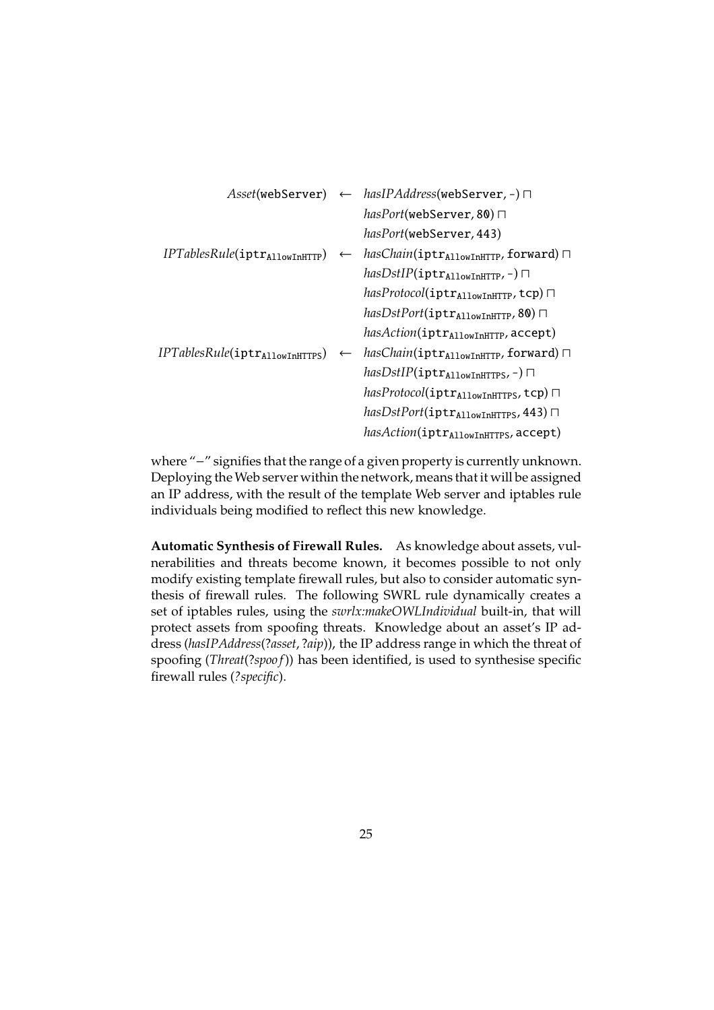|                                             |              | $\textit{Asset}(\text{webServer}) \leftarrow \textit{hasIPAddress}(\text{webServer}, \text{-}) \sqcap$ |
|---------------------------------------------|--------------|--------------------------------------------------------------------------------------------------------|
|                                             |              | $hasPort(webServer, 80) \sqcap$                                                                        |
|                                             |              | hasPort(webServer, 443)                                                                                |
| IPTablesRule(iptr <sub>AllowInHTTP</sub> )  | $\leftarrow$ | hasChain(iptr <sub>AllowInHTTP</sub> , forward) $\sqcap$                                               |
|                                             |              | $hasDstIP(\texttt{iptr}_{\text{AllowInHTTP}}, -)$                                                      |
|                                             |              | hasProtocol(iptr <sub>AllowInHTTP</sub> , tcp) $\sqcap$                                                |
|                                             |              | hasDstPort(iptr <sub>AllowInHTTP</sub> , 80) $\Box$                                                    |
|                                             |              | hasAction(iptrAllowInHTTP, accept)                                                                     |
| IPTablesRule(iptr <sub>AllowInHTTPS</sub> ) | $\leftarrow$ | $hasChain(\texttt{intr}_{\text{AllowInHTTP}}, \text{forward})$                                         |
|                                             |              | $hasDstIP(\texttt{iptr}_{\texttt{AllowInHTTS}},-)$                                                     |
|                                             |              | hasProtocol(iptr <sub>AllowInHTTPS</sub> , tcp) $\sqcap$                                               |
|                                             |              | $hasDstPort(iptrAllowInHTTS, 443)$                                                                     |
|                                             |              | hasAction(iptr <sub>AllowInHTTPS</sub> , accept)                                                       |
|                                             |              |                                                                                                        |

where "−" signifies that the range of a given property is currently unknown. Deploying the Web server within the network, means that it will be assigned an IP address, with the result of the template Web server and iptables rule individuals being modified to reflect this new knowledge.

**Automatic Synthesis of Firewall Rules.** As knowledge about assets, vulnerabilities and threats become known, it becomes possible to not only modify existing template firewall rules, but also to consider automatic synthesis of firewall rules. The following SWRL rule dynamically creates a set of iptables rules, using the *swrlx:makeOWLIndividual* built-in, that will protect assets from spoofing threats. Knowledge about an asset's IP address (*hasIPAddress*(?*asset*, ?*aip*)), the IP address range in which the threat of spoofing (*Threat*(?*spoo f*)) has been identified, is used to synthesise specific firewall rules (*?specific*).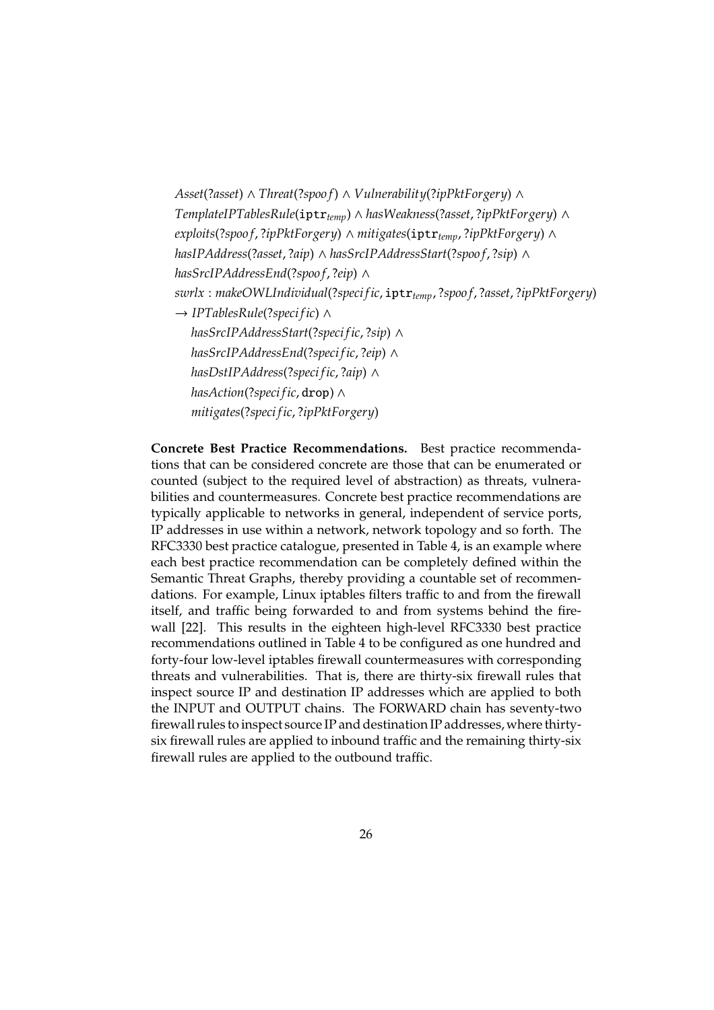```
Asset(?asset) ∧ Threat(?spoo f) ∧ Vulnerability(?ipPktForgery) ∧
TemplateIPTablesRule(iptrtemp) ∧ hasWeakness(?asset, ?ipPktForgery) ∧
exploits(?spoo f, ?ipPktForgery) ∧ mitigates(iptrtemp, ?ipPktForgery) ∧
hasIPAddress(?asset, ?aip) ∧ hasSrcIPAddressStart(?spoo f, ?sip) ∧
hasSrcIPAddressEnd(?spoo f, ?eip) ∧
swrlx : makeOWLIndividual(?speci fic, iptrtemp, ?spoo f, ?asset, ?ipPktForgery)
→ IPTablesRule(?speci fic) ∧
   hasSrcIPAddressStart(?speci fic, ?sip) ∧
   hasSrcIPAddressEnd(?speci fic, ?eip) ∧
   hasDstIPAddress(?speci fic, ?aip) ∧
   hasAction(?speci fic, drop) ∧
   mitigates(?speci fic, ?ipPktForgery)
```
**Concrete Best Practice Recommendations.** Best practice recommendations that can be considered concrete are those that can be enumerated or counted (subject to the required level of abstraction) as threats, vulnerabilities and countermeasures. Concrete best practice recommendations are typically applicable to networks in general, independent of service ports, IP addresses in use within a network, network topology and so forth. The RFC3330 best practice catalogue, presented in Table 4, is an example where each best practice recommendation can be completely defined within the Semantic Threat Graphs, thereby providing a countable set of recommendations. For example, Linux iptables filters traffic to and from the firewall itself, and traffic being forwarded to and from systems behind the firewall [22]. This results in the eighteen high-level RFC3330 best practice recommendations outlined in Table 4 to be configured as one hundred and forty-four low-level iptables firewall countermeasures with corresponding threats and vulnerabilities. That is, there are thirty-six firewall rules that inspect source IP and destination IP addresses which are applied to both the INPUT and OUTPUT chains. The FORWARD chain has seventy-two firewall rules to inspect source IP and destination IP addresses,where thirtysix firewall rules are applied to inbound traffic and the remaining thirty-six firewall rules are applied to the outbound traffic.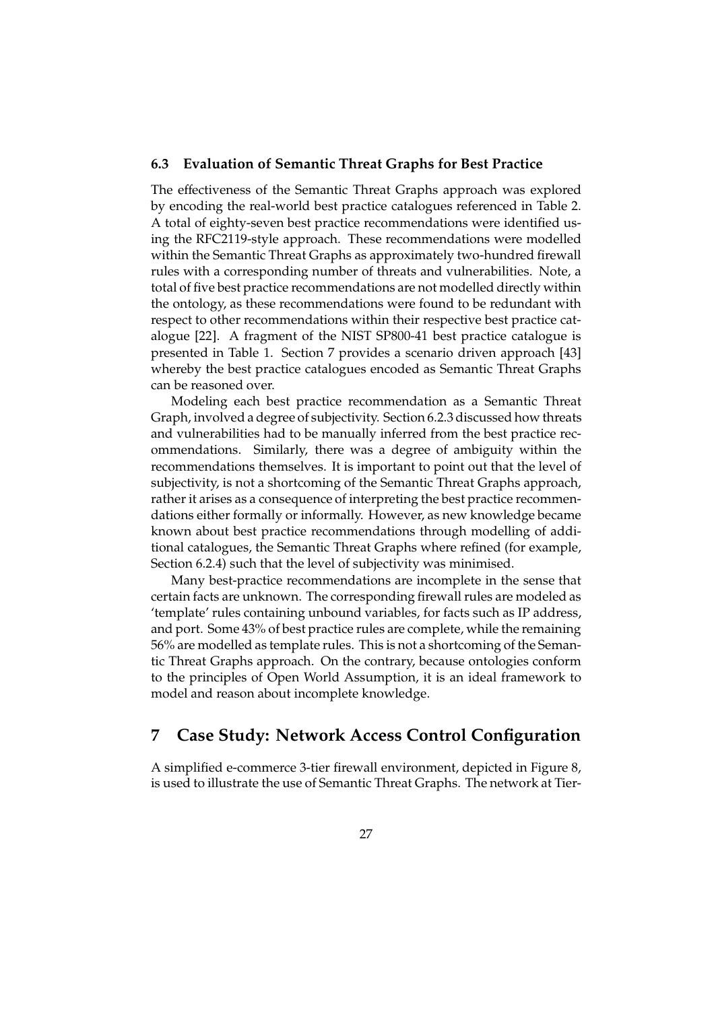#### **6.3 Evaluation of Semantic Threat Graphs for Best Practice**

The effectiveness of the Semantic Threat Graphs approach was explored by encoding the real-world best practice catalogues referenced in Table 2. A total of eighty-seven best practice recommendations were identified using the RFC2119-style approach. These recommendations were modelled within the Semantic Threat Graphs as approximately two-hundred firewall rules with a corresponding number of threats and vulnerabilities. Note, a total of five best practice recommendations are not modelled directly within the ontology, as these recommendations were found to be redundant with respect to other recommendations within their respective best practice catalogue [22]. A fragment of the NIST SP800-41 best practice catalogue is presented in Table 1. Section 7 provides a scenario driven approach [43] whereby the best practice catalogues encoded as Semantic Threat Graphs can be reasoned over.

Modeling each best practice recommendation as a Semantic Threat Graph, involved a degree of subjectivity. Section 6.2.3 discussed how threats and vulnerabilities had to be manually inferred from the best practice recommendations. Similarly, there was a degree of ambiguity within the recommendations themselves. It is important to point out that the level of subjectivity, is not a shortcoming of the Semantic Threat Graphs approach, rather it arises as a consequence of interpreting the best practice recommendations either formally or informally. However, as new knowledge became known about best practice recommendations through modelling of additional catalogues, the Semantic Threat Graphs where refined (for example, Section 6.2.4) such that the level of subjectivity was minimised.

Many best-practice recommendations are incomplete in the sense that certain facts are unknown. The corresponding firewall rules are modeled as 'template' rules containing unbound variables, for facts such as IP address, and port. Some 43% of best practice rules are complete, while the remaining 56% are modelled as template rules. This is not a shortcoming of the Semantic Threat Graphs approach. On the contrary, because ontologies conform to the principles of Open World Assumption, it is an ideal framework to model and reason about incomplete knowledge.

## **7 Case Study: Network Access Control Configuration**

A simplified e-commerce 3-tier firewall environment, depicted in Figure 8, is used to illustrate the use of Semantic Threat Graphs. The network at Tier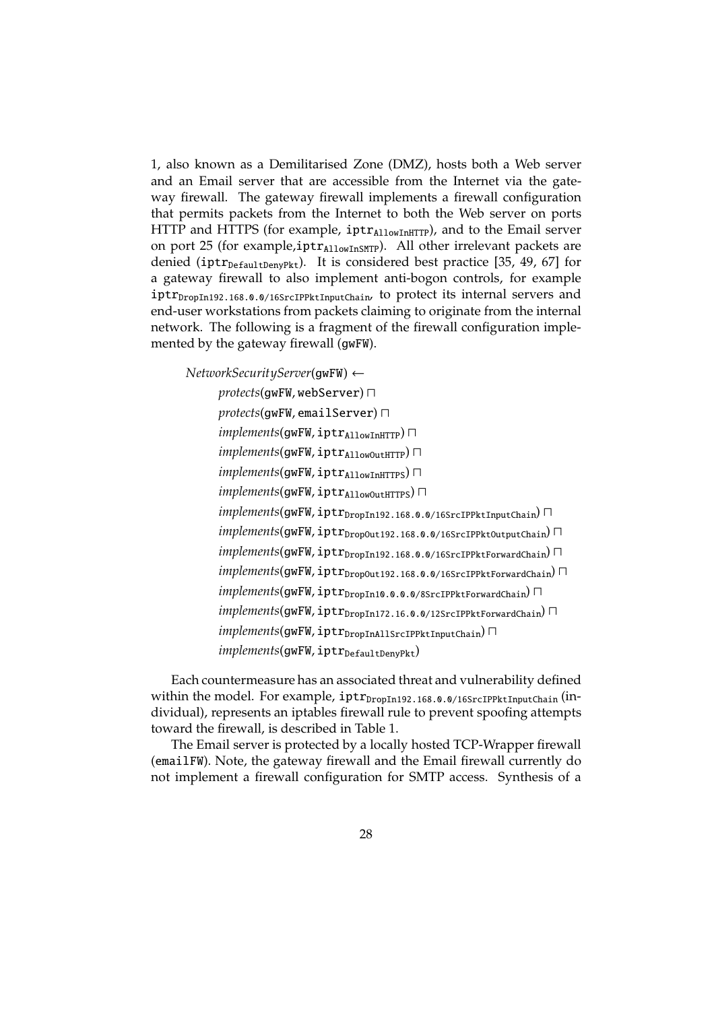1, also known as a Demilitarised Zone (DMZ), hosts both a Web server and an Email server that are accessible from the Internet via the gateway firewall. The gateway firewall implements a firewall configuration that permits packets from the Internet to both the Web server on ports HTTP and HTTPS (for example,  $iptr_{\text{AllowInHTTP}}$ ), and to the Email server on port 25 (for example, $iptr_{\text{AllowInSMTP}}$ ). All other irrelevant packets are denied (iptr<sub>DefaultDenvPkt</sub>). It is considered best practice [35, 49, 67] for a gateway firewall to also implement anti-bogon controls, for example  $iptr_{DropIn192.168.0.0/16SrcIPPttlnputChain}$  to protect its internal servers and end-user workstations from packets claiming to originate from the internal network. The following is a fragment of the firewall configuration implemented by the gateway firewall (gwFW).

*NetworkSecurityServer*(gwFW) ← *protects*(gwFW, webServer) ⊓ *protects*(gwFW, emailServer) ⊓ *implements*(gwFW, iptr<sub>AllowInHTTP</sub>)  $\Box$ *implements*(gwFW, iptr<sub>AllowOutHTTP</sub>) П *implements*(gwFW, iptr<sub>AllowInHTTPS) П</sub> *implements*(gwFW, iptr<sub>AllowOutHTTPS) П</sub> *implements*(gwFW, iptr<sub>DropIn192.168.0.0/16SrcIPPktInputChain) □</sub> *implements*(gwFW, iptr<sub>DropOut192.168.0.0/16SrcIPPktOutputChain) □</sub> *implements*(gwFW, iptr<sub>DropIn192.168.0.0/16SrcIPPktForwardChain) □</sub> *implements*(gwFW, iptr<sub>DropOut192.168.0.0/16SrcIPPktForwardChain) □</sub> *implements*(gwFW, iptr<sub>DropIn10.0.0.0/8SrcIPPktForwardChain) □</sub> *implements*(gwFW, iptr<sub>DropIn172.16.0.0/12SrcIPPktForwardChain) □</sub> *implements*(gwFW, iptr<sub>DropInAllSrcIPPktInputChain) □</sub>  $implements(gwFW, \texttt{iptr}_{DefaultDenvPkt})$ 

Each countermeasure has an associated threat and vulnerability defined within the model. For example,  $iptr_{DropIn192.168.0.0/16SrcIPPttlnputChain}$  (individual), represents an iptables firewall rule to prevent spoofing attempts toward the firewall, is described in Table 1.

The Email server is protected by a locally hosted TCP-Wrapper firewall (emailFW). Note, the gateway firewall and the Email firewall currently do not implement a firewall configuration for SMTP access. Synthesis of a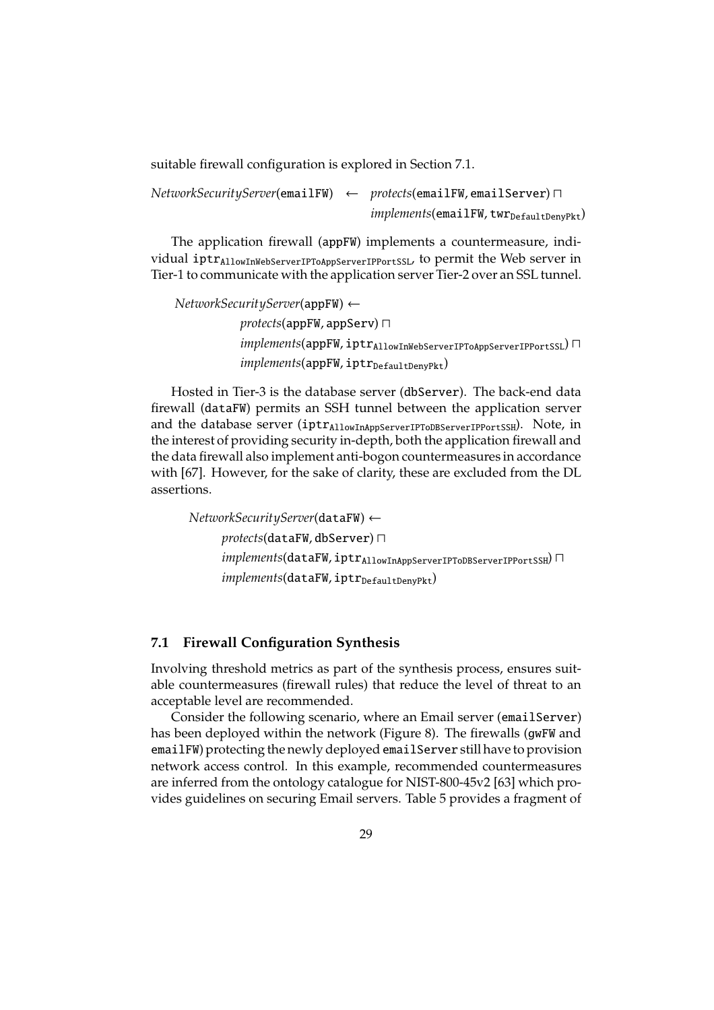suitable firewall configuration is explored in Section 7.1.

*NetworkSecurityServer*(emailFW) ← *protects*(emailFW, emailServer) ⊓  $implements$ (emailFW, twr<sub>DefaultDenyPkt</sub>)

The application firewall (appFW) implements a countermeasure, individual iptr<sub>AllowInWebServerIPToAppServerIPPortSSL</sub>, to permit the Web server in Tier-1 to communicate with the application server Tier-2 over an SSL tunnel.

*NetworkSecurityServer*(appFW) ← *protects*(appFW, appServ) ⊓ *implements*(appFW, iptrAllowInWebServerIPToAppServerIPPortSSL) ⊓  $implements(appFW, iptr<sub>DefaultDenyPkt</sub>)$ 

Hosted in Tier-3 is the database server (dbServer). The back-end data firewall (dataFW) permits an SSH tunnel between the application server and the database server (iptr<sub>AllowInAppServerIPToDBServerIPPortSSH</sub>). Note, in the interest of providing security in-depth, both the application firewall and the data firewall also implement anti-bogon countermeasures in accordance with [67]. However, for the sake of clarity, these are excluded from the DL assertions.

*NetworkSecurityServer*(dataFW) ← *protects*(dataFW, dbServer) ⊓ *implements*(dataFW, iptrAllowInAppServerIPToDBServerIPPortSSH) ⊓  $implements$ (dataFW, iptr<sub>DefaultDenyPkt</sub>)

### **7.1 Firewall Configuration Synthesis**

Involving threshold metrics as part of the synthesis process, ensures suitable countermeasures (firewall rules) that reduce the level of threat to an acceptable level are recommended.

Consider the following scenario, where an Email server (emailServer) has been deployed within the network (Figure 8). The firewalls (gwFW and emailFW) protecting the newly deployed emailServer still have to provision network access control. In this example, recommended countermeasures are inferred from the ontology catalogue for NIST-800-45v2 [63] which provides guidelines on securing Email servers. Table 5 provides a fragment of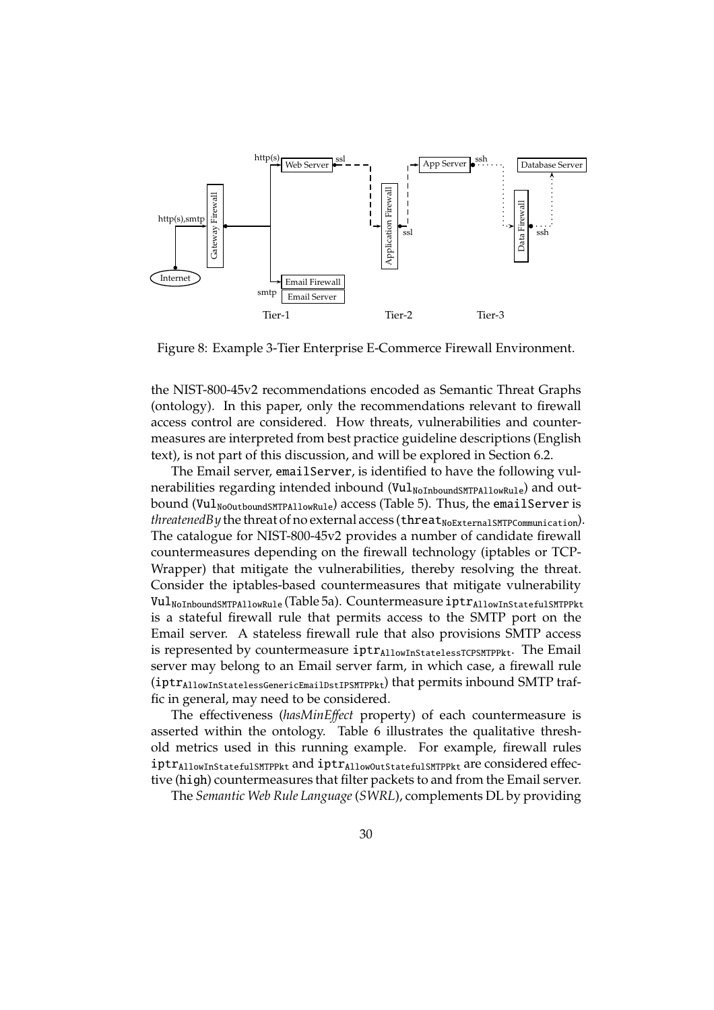

Figure 8: Example 3-Tier Enterprise E-Commerce Firewall Environment.

the NIST-800-45v2 recommendations encoded as Semantic Threat Graphs (ontology). In this paper, only the recommendations relevant to firewall access control are considered. How threats, vulnerabilities and countermeasures are interpreted from best practice guideline descriptions (English text), is not part of this discussion, and will be explored in Section 6.2.

The Email server, emailServer, is identified to have the following vulnerabilities regarding intended inbound (Vul<sub>NoInboundSMTPAllowRule</sub>) and outbound (Vul<sub>NoOutboundSMTPAllowRule</sub>) access (Table 5). Thus, the emailServer is *threatenedBy* the threat of no external access (threat<sub>NoExternalSMTPCommunication).</sub> The catalogue for NIST-800-45v2 provides a number of candidate firewall countermeasures depending on the firewall technology (iptables or TCP-Wrapper) that mitigate the vulnerabilities, thereby resolving the threat. Consider the iptables-based countermeasures that mitigate vulnerability Vul<sub>NoInboundSMTPAllowRule</sub> (Table 5a). Countermeasure iptr<sub>AllowInStatefulSMTPPkt</sub> is a stateful firewall rule that permits access to the SMTP port on the Email server. A stateless firewall rule that also provisions SMTP access is represented by countermeasure iptrAllowInStatelessTCPSMTPPkt. The Email server may belong to an Email server farm, in which case, a firewall rule  $(iptr<sub>AllowInStatelessGenerator</sub>$  that permits inbound SMTP traffic in general, may need to be considered.

The effectiveness (*hasMinE*ff*ect* property) of each countermeasure is asserted within the ontology. Table 6 illustrates the qualitative threshold metrics used in this running example. For example, firewall rules iptr<sub>AllowInStatefulSMTPPkt</sub> and iptr<sub>AllowOutStatefulSMTPPkt</sub> are considered effective (high) countermeasures that filter packets to and from the Email server.

The *Semantic Web Rule Language* (*SWRL*), complements DL by providing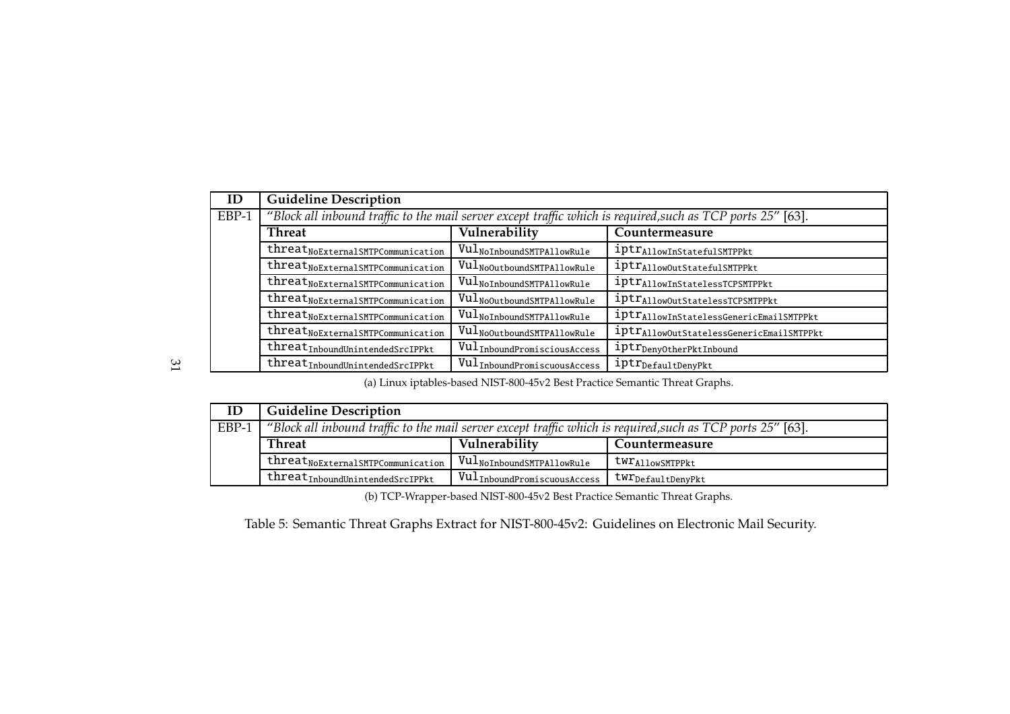| ID                                                                                                 | <b>Guideline Description</b>                  |                                                      |                                                                                                             |
|----------------------------------------------------------------------------------------------------|-----------------------------------------------|------------------------------------------------------|-------------------------------------------------------------------------------------------------------------|
| EBP-1                                                                                              |                                               |                                                      | 'Block all inbound traffic to the mail server except traffic which is required, such as TCP ports 25" [63]. |
|                                                                                                    | <b>Threat</b>                                 | Vulnerability                                        | Countermeasure                                                                                              |
|                                                                                                    | threat <sub>NoExternalSMTPCommunication</sub> | Vul <sub>NoInboundSMTPAllowRule</sub>                | iptr <sub>AllowInStatefulSMTPPkt</sub>                                                                      |
|                                                                                                    | threat <sub>NoExternalSMTPCommunication</sub> | Vul <sub>NoOutboundSMTPAllowRule</sub>               | iptr <sub>AllowOutStatefulSMTPPkt</sub>                                                                     |
|                                                                                                    | threat <sub>NoExternalSMTPCommunication</sub> | $\mathtt{Vul}_{\mathtt{NoInboundSMTPA11owRule}}$     | iptr <sub>Allow</sub> InStatelessTCPSMTPPkt                                                                 |
|                                                                                                    | threat <sub>NoExternalSMTPCommunication</sub> | Vul <sub>NoOutboundSMTPAllowRule</sub>               | iptr <sub>AllowOutStatelessTCPSMTPPkt</sub>                                                                 |
|                                                                                                    | threat <sub>NoExternalSMTPCommunication</sub> | $\mathtt{Vul}_{\mathtt{NoInboundSMTPA11owRule}}$     | iptr <sub>Allow</sub> InStatelessGenericEmailSMTPPkt                                                        |
| threat <sub>NoExternalSMTPCommunication</sub><br>$\texttt{Vul}_{\texttt{NoOutboundSMTPA11owRule}}$ |                                               | iptr <sub>AllowOutStatelessGenericEmailSMTPPkt</sub> |                                                                                                             |
|                                                                                                    | $threat_{InboundUnitended SrcIPPkt}$          | VulInboundPromisciousAccess                          | iptr <sub>DenyOtherPktInbound</sub>                                                                         |
|                                                                                                    | threat <sub>Inbound</sub> UnintendedSrcIPPkt  | VulInboundPromiscuousAccess                          | iptr <sub>DefaultDenyPkt</sub>                                                                              |

(a) Linux iptables-based NIST-800-45v2 Best Practice Semantic Threat Graphs.

| ID    | <b>Guideline Description</b>                     |                                                                  |                                                                                                             |  |
|-------|--------------------------------------------------|------------------------------------------------------------------|-------------------------------------------------------------------------------------------------------------|--|
| EBP-1 |                                                  |                                                                  | "Block all inbound traffic to the mail server except traffic which is required, such as TCP ports 25" [63]. |  |
|       | <b>Threat</b><br>Vulnerability<br>Countermeasure |                                                                  |                                                                                                             |  |
|       | threat <sub>NoExternalSMTPCommunication</sub>    | $\blacksquare$ <code>Vul<sub>NoInboundSMTPAllowRule</sub></code> | twr <sub>Allow</sub> SMTPPkt                                                                                |  |
|       | threat <sub>Inbound</sub> UnintendedSrcIPPkt     | $\mathtt{Vul}_{\mathtt{InboundPromiscuousAccess}}$ '             | <code>tw<math>\mathtt{r}_\mathtt{DefaultDenyPkt}</math></code>                                              |  |

(b) TCP-Wrapper-based NIST-800-45v2 Best Practice Semantic Threat Graphs.

Table 5: Semantic Threat Graphs Extract for NIST-800-45v2: Guidelines on Electronic Mail Security.

31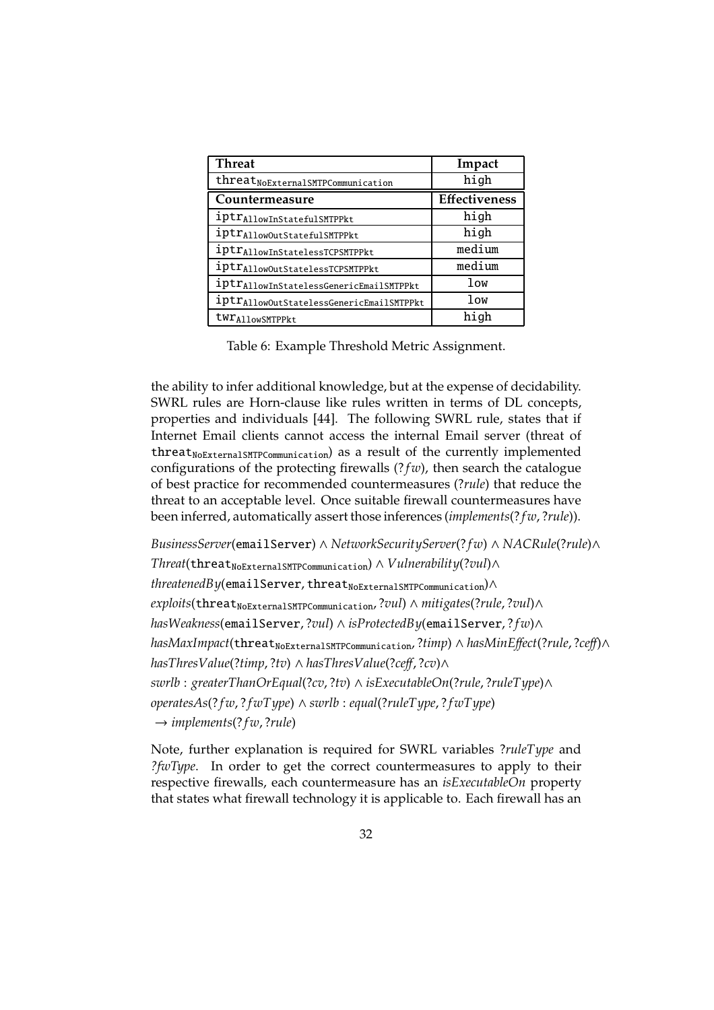| <b>Threat</b>                                        | Impact               |
|------------------------------------------------------|----------------------|
| threat <sub>NoExternal</sub> SMTPCommunication       | high                 |
| Countermeasure                                       | <b>Effectiveness</b> |
| iptr <sub>Allow</sub> InStatefulSMTPPkt              | high                 |
| iptr <sub>AllowOutStatefulSMTPPkt</sub>              | high                 |
| iptr <sub>Allow</sub> InStatelessTCPSMTPPkt          | medium               |
| iptr <sub>AllowOutStatelessTCPSMTPPkt</sub>          | medium               |
| iptr <sub>Allow</sub> InStatelessGenericEmailSMTPPkt | low                  |
| iptr <sub>AllowOutStatelessGenericEmailSMTPPkt</sub> | low                  |
| twr AllowSMTPPkt                                     | high                 |

Table 6: Example Threshold Metric Assignment.

the ability to infer additional knowledge, but at the expense of decidability. SWRL rules are Horn-clause like rules written in terms of DL concepts, properties and individuals [44]. The following SWRL rule, states that if Internet Email clients cannot access the internal Email server (threat of threat<sub>NoExternalSMTPCommunication</sub>) as a result of the currently implemented configurations of the protecting firewalls  $(? *fw*)$ , then search the catalogue of best practice for recommended countermeasures (?*rule*) that reduce the threat to an acceptable level. Once suitable firewall countermeasures have been inferred, automatically assert those inferences (*implements*(? *f w*, ?*rule*)).

*BusinessServer*(emailServer) ∧ *NetworkSecurityServer*(? *f w*) ∧ *NACRule*(?*rule*)∧  $Thread$ (threat<sub>NoExternalSMTPCommunication) ∧ *Vulnerability*(?*vul*)∧</sub> *threatenedBy*(emailServer, threat<sub>NoExternalSMTPCommunication</sub>)∧  $exploits$ (threat<sub>NoExternalSMTPCommunication, ?*vul*) ∧ *mitigates*(?*rule*, ?*vul*)∧</sub> *hasWeakness*(emailServer, ?*vul*) ∧ *isProtectedBy*(emailServer, ? *f w*)∧ *hasMaxImpact*(threat<sub>NoExternalSMTPCommunication,?*timp*) ∧ *hasMinEffect*(?*rule*,?*ceff*)∧</sub> *hasThresValue*(?*timp*, ?*tv*) ∧ *hasThresValue*(?*ce*ff, ?*cv*)∧ *swrlb* : *greaterThanOrEqual*(?*cv*, ?*tv*) ∧ *isExecutableOn*(?*rule*, ?*ruleType*)∧ *operatesAs*(? *f w*, ? *f wType*) ∧ *swrlb* : *equal*(?*ruleType*, ? *f wType*) → *implements*(? *f w*, ?*rule*)

Note, further explanation is required for SWRL variables ?*ruleType* and *?fwType*. In order to get the correct countermeasures to apply to their respective firewalls, each countermeasure has an *isExecutableOn* property that states what firewall technology it is applicable to. Each firewall has an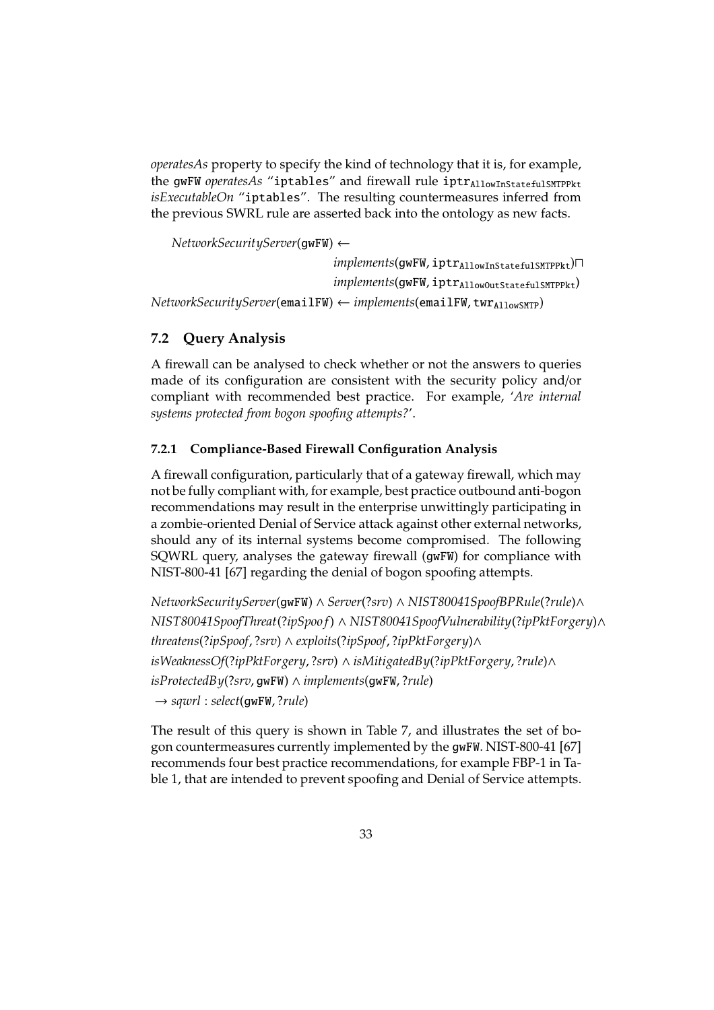*operatesAs* property to specify the kind of technology that it is, for example, the gwFW *operatesAs* "iptables" and firewall rule iptr<sub>AllowInStatefulSMTPPkt</sub> *isExecutableOn* "iptables". The resulting countermeasures inferred from the previous SWRL rule are asserted back into the ontology as new facts.

*NetworkSecurityServer*(gwFW) ←

```
implements(gwFW, iptrAllowInStatefulSMTPPkt)⊓
                                  implements(gwFW, iptrAllowOutStatefulSMTPPkt)
NetworkSecurityServer(emailFW) ← implements(emailFW, twr<sub>AllowSMTP</sub>)
```
### **7.2 Query Analysis**

A firewall can be analysed to check whether or not the answers to queries made of its configuration are consistent with the security policy and/or compliant with recommended best practice. For example, '*Are internal systems protected from bogon spoofing attempts?*'.

### **7.2.1 Compliance-Based Firewall Configuration Analysis**

A firewall configuration, particularly that of a gateway firewall, which may not be fully compliant with, for example, best practice outbound anti-bogon recommendations may result in the enterprise unwittingly participating in a zombie-oriented Denial of Service attack against other external networks, should any of its internal systems become compromised. The following SQWRL query, analyses the gateway firewall (gwFW) for compliance with NIST-800-41 [67] regarding the denial of bogon spoofing attempts.

*NetworkSecurityServer*(gwFW) ∧ *Server*(?*srv*) ∧ *NIST80041SpoofBPRule*(?*rule*)∧ *NIST80041SpoofThreat*(?*ipSpoo f*) ∧ *NIST80041SpoofVulnerability*(?*ipPktForgery*)∧ *threatens*(?*ipSpoof*, ?*srv*) ∧ *exploits*(?*ipSpoof*, ?*ipPktForgery*)∧ *isWeaknessOf*(?*ipPktForgery*, ?*srv*) ∧ *isMitigatedBy*(?*ipPktForgery*, ?*rule*)∧ *isProtectedBy*(?*srv*, gwFW) ∧ *implements*(gwFW, ?*rule*) → *sqwrl* : *select*(gwFW, ?*rule*)

The result of this query is shown in Table 7, and illustrates the set of bogon countermeasures currently implemented by the gwFW. NIST-800-41 [67] recommends four best practice recommendations, for example FBP-1 in Table 1, that are intended to prevent spoofing and Denial of Service attempts.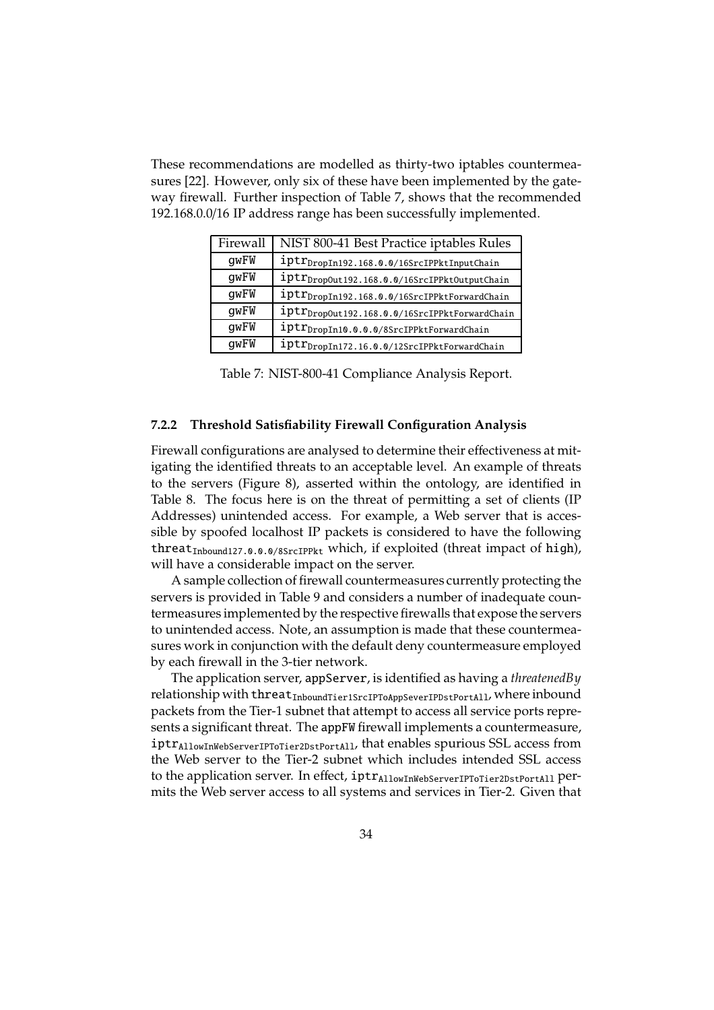These recommendations are modelled as thirty-two iptables countermeasures [22]. However, only six of these have been implemented by the gateway firewall. Further inspection of Table 7, shows that the recommended 192.168.0.0/16 IP address range has been successfully implemented.

| Firewall | NIST 800-41 Best Practice iptables Rules                  |
|----------|-----------------------------------------------------------|
| qwFW     | iptr <sub>DropIn192.168.0.0/16SrcIPPktInputChain</sub>    |
| qwFW     | iptr <sub>DropOut</sub> 192.168.0.0/16SrcIPPktOutputChain |
| qwFW     | iptr <sub>DropIn192.168.0.0/16SrcIPPktForwardChain</sub>  |
| qwFW     | iptr <sub>DropOut192.168.0.0/16SrcIPPktForwardChain</sub> |
| qwFW     | iptr <sub>DropIn10.0.0.0/8SrcIPPktForwardChain</sub>      |
| qwFW     | iptr <sub>DropIn172.16.0.0/12SrcIPPktForwardChain</sub>   |

Table 7: NIST-800-41 Compliance Analysis Report.

#### **7.2.2 Threshold Satisfiability Firewall Configuration Analysis**

Firewall configurations are analysed to determine their effectiveness at mitigating the identified threats to an acceptable level. An example of threats to the servers (Figure 8), asserted within the ontology, are identified in Table 8. The focus here is on the threat of permitting a set of clients (IP Addresses) unintended access. For example, a Web server that is accessible by spoofed localhost IP packets is considered to have the following threat<sub>Inbound127.0.0.0/8SrcIPPkt</sub> which, if exploited (threat impact of high), will have a considerable impact on the server.

A sample collection of firewall countermeasures currently protecting the servers is provided in Table 9 and considers a number of inadequate countermeasures implemented by the respective firewalls that expose the servers to unintended access. Note, an assumption is made that these countermeasures work in conjunction with the default deny countermeasure employed by each firewall in the 3-tier network.

The application server, appServer, is identified as having a *threatenedBy* relationship with threat<sub>InboundTier1SrcIPToAppSeverIPDstPortAll</sub>, where inbound packets from the Tier-1 subnet that attempt to access all service ports represents a significant threat. The appFW firewall implements a countermeasure, iptrAllowInWebServerIPToTier2DstPortAll, that enables spurious SSL access from the Web server to the Tier-2 subnet which includes intended SSL access to the application server. In effect,  $iptr_{\text{AllowInWebServerIPToTier2DstPortAll}}$  permits the Web server access to all systems and services in Tier-2. Given that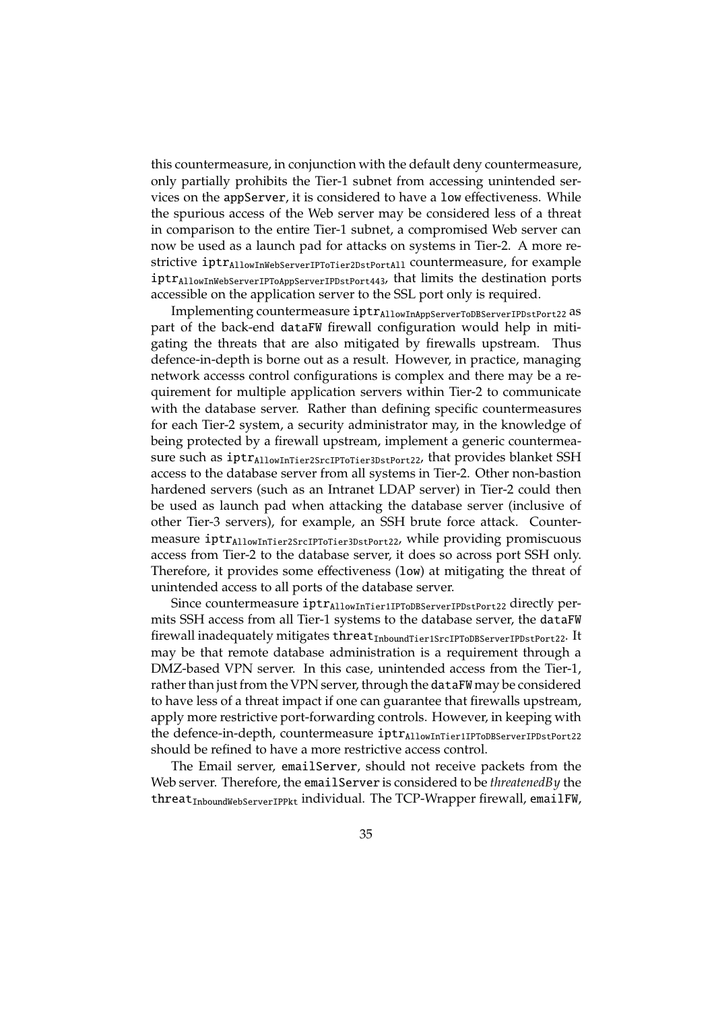this countermeasure, in conjunction with the default deny countermeasure, only partially prohibits the Tier-1 subnet from accessing unintended services on the appServer, it is considered to have a low effectiveness. While the spurious access of the Web server may be considered less of a threat in comparison to the entire Tier-1 subnet, a compromised Web server can now be used as a launch pad for attacks on systems in Tier-2. A more restrictive iptr<sub>AllowInWebServerIPToTier2DstPortAll</sub> countermeasure, for example iptrAllowInWebServerIPToAppServerIPDstPort443, that limits the destination ports accessible on the application server to the SSL port only is required.

Implementing countermeasure iptrAllowInAppServerToDBServerIPDstPort22 as part of the back-end dataFW firewall configuration would help in mitigating the threats that are also mitigated by firewalls upstream. Thus defence-in-depth is borne out as a result. However, in practice, managing network accesss control configurations is complex and there may be a requirement for multiple application servers within Tier-2 to communicate with the database server. Rather than defining specific countermeasures for each Tier-2 system, a security administrator may, in the knowledge of being protected by a firewall upstream, implement a generic countermeasure such as  $iptr_{\text{AllowInTier2SrcIPToTier3DstPort22}}$ , that provides blanket SSH access to the database server from all systems in Tier-2. Other non-bastion hardened servers (such as an Intranet LDAP server) in Tier-2 could then be used as launch pad when attacking the database server (inclusive of other Tier-3 servers), for example, an SSH brute force attack. Countermeasure iptr<sub>AllowInTier2SrcIPToTier3DstPort22</sub>, while providing promiscuous access from Tier-2 to the database server, it does so across port SSH only. Therefore, it provides some effectiveness (low) at mitigating the threat of unintended access to all ports of the database server.

Since countermeasure iptr<sub>AllowInTier1IPToDBServerIPDstPort22</sub> directly permits SSH access from all Tier-1 systems to the database server, the dataFW firewall inadequately mitigates threatInboundTier1SrcIPToDBServerIPDstPort22. It may be that remote database administration is a requirement through a DMZ-based VPN server. In this case, unintended access from the Tier-1, rather than just from the VPN server, through the dataFW may be considered to have less of a threat impact if one can guarantee that firewalls upstream, apply more restrictive port-forwarding controls. However, in keeping with the defence-in-depth, countermeasure iptr<sub>AllowInTier1IPToDBServerIPDstPort22</sub> should be refined to have a more restrictive access control.

The Email server, emailServer, should not receive packets from the Web server. Therefore, the emailServer is considered to be *threatenedBy* the threat<sub>InboundWebServerIPPkt</sub> individual. The TCP-Wrapper firewall, emailFW,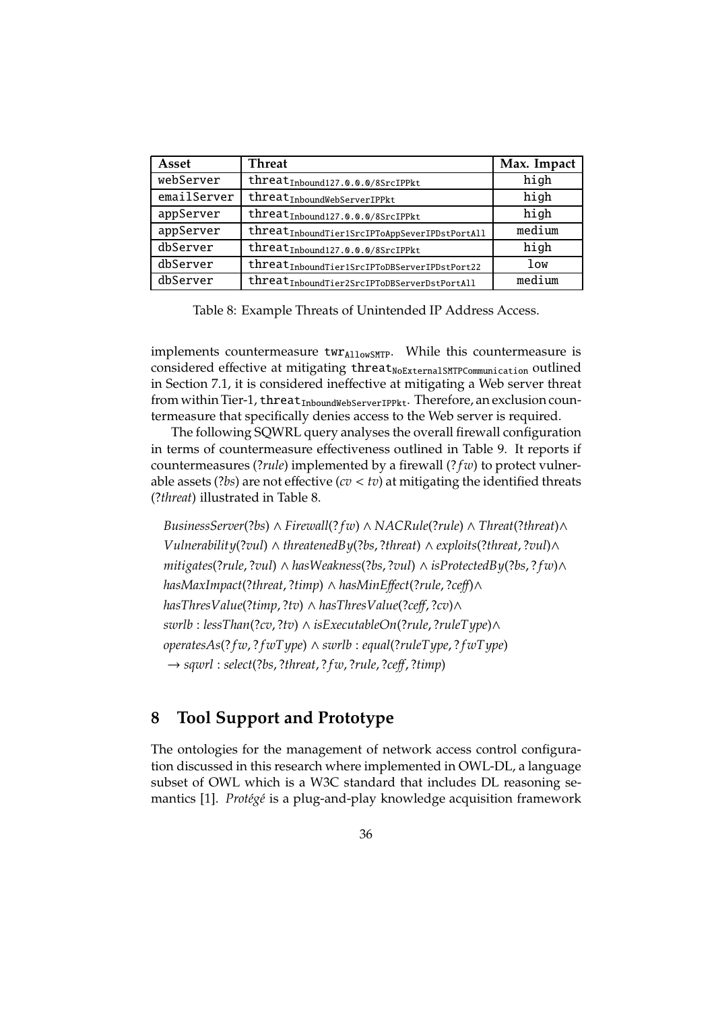| Asset       | <b>Threat</b>                                             | Max. Impact |
|-------------|-----------------------------------------------------------|-------------|
| webServer   | threat <sub>Inbound127.0.0.0/8SrcIPPkt</sub>              | high        |
| emailServer | threat <sub>InboundWebServerIPPkt</sub>                   | high        |
| appServer   | threat <sub>Inbound127.0.0.0/8SrcIPPkt</sub>              | high        |
| appServer   | threat <sub>InboundTier1SrcIPToAppSeverIPDstPortAll</sub> | medium      |
| dbServer    | threat <sub>Inbound127.0.0.0/8SrcIPPkt</sub>              | high        |
| dbServer    | threat <sub>InboundTier1SrcIPToDBServerIPDstPort22</sub>  | low         |
| dbServer    | ${threat_{InboundTier2SrcIPToDBServerDstPortAll}}$        | medium      |

Table 8: Example Threats of Unintended IP Address Access.

implements countermeasure  $\text{twr}_{\text{AllowSMT}}$ . While this countermeasure is considered effective at mitigating threat<sub>NoExternalSMTPCommunication</sub> outlined in Section 7.1, it is considered ineffective at mitigating a Web server threat from within Tier-1, threat $I_{InboundWebServerIPPkt}$ . Therefore, an exclusion countermeasure that specifically denies access to the Web server is required.

The following SQWRL query analyses the overall firewall configuration in terms of countermeasure effectiveness outlined in Table 9. It reports if countermeasures (?*rule*) implemented by a firewall (? *f w*) to protect vulnerable assets (?*bs*) are not effective (*cv* < *tv*) at mitigating the identified threats (?*threat*) illustrated in Table 8.

*BusinessServer*(?*bs*) ∧ *Firewall*(? *f w*) ∧ *NACRule*(?*rule*) ∧ *Threat*(?*threat*)∧ *Vulnerability*(?*vul*) ∧ *threatenedBy*(?*bs*, ?*threat*) ∧ *exploits*(?*threat*, ?*vul*)∧ *mitigates*(?*rule*, ?*vul*) ∧ *hasWeakness*(?*bs*, ?*vul*) ∧ *isProtectedBy*(?*bs*, ? *f w*)∧ *hasMaxImpact*(?*threat*, ?*timp*) ∧ *hasMinE*ff*ect*(?*rule*, ?*ce*ff)∧ *hasThresValue*(?*timp*, ?*tv*) ∧ *hasThresValue*(?*ce*ff, ?*cv*)∧ *swrlb* : *lessThan*(?*cv*, ?*tv*) ∧ *isExecutableOn*(?*rule*, ?*ruleType*)∧ *operatesAs*(? *f w*, ? *f wType*) ∧ *swrlb* : *equal*(?*ruleType*, ? *f wType*) → *sqwrl* : *select*(?*bs*, ?*threat*, ? *f w*, ?*rule*, ?*ce*ff, ?*timp*)

## **8 Tool Support and Prototype**

The ontologies for the management of network access control configuration discussed in this research where implemented in OWL-DL, a language subset of OWL which is a W3C standard that includes DL reasoning semantics [1]. *Protégé* is a plug-and-play knowledge acquisition framework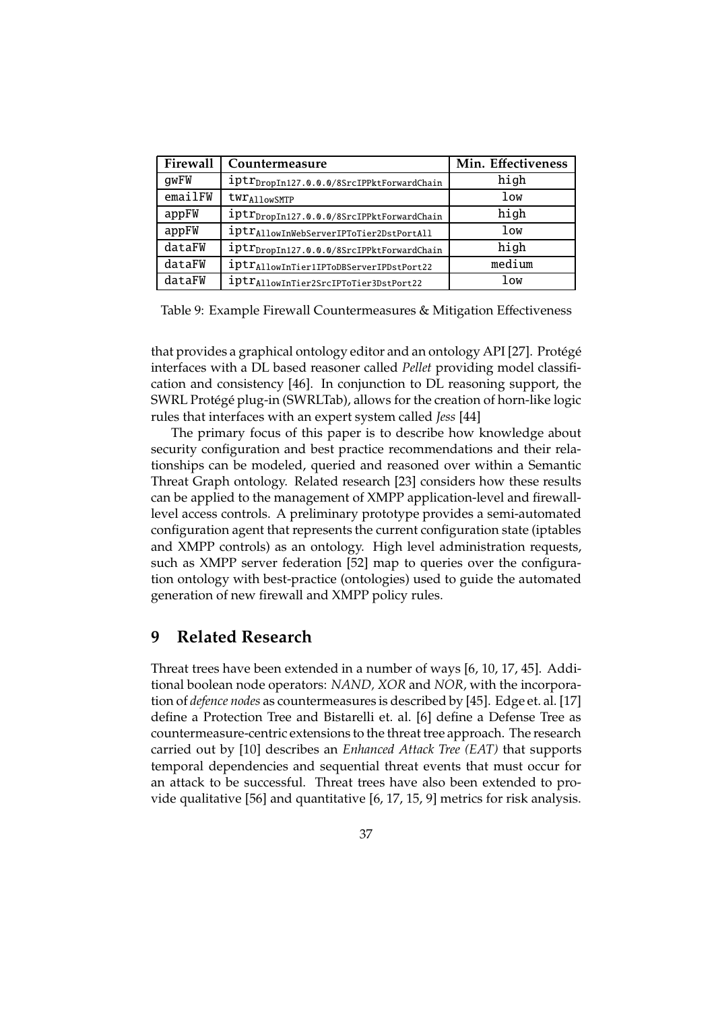| Firewall | Countermeasure                                        | Min. Effectiveness |
|----------|-------------------------------------------------------|--------------------|
| gwFW     | iptr <sub>DropIn127.0.0.0/8SrcIPPktForwardChain</sub> | high               |
| emailFW  | twr Allow SMTP                                        | low                |
| appFW    | iptr <sub>DropIn127.0.0.0/8SrcIPPktForwardChain</sub> | high               |
| appFW    | iptr <sub>Allow</sub> InWebServerIPToTier2DstPortAll  | low                |
| dataFW   | iptr <sub>DropIn127.0.0.0/8SrcIPPktForwardChain</sub> | high               |
| dataFW   | iptr <sub>Allow</sub> InTier1IPToDBServerIPDstPort22  | medium             |
| dataFW   | iptr <sub>Allow</sub> InTier2SrcIPToTier3DstPort22    | low                |

Table 9: Example Firewall Countermeasures & Mitigation Effectiveness

that provides a graphical ontology editor and an ontology API [27]. Protégé interfaces with a DL based reasoner called *Pellet* providing model classification and consistency [46]. In conjunction to DL reasoning support, the SWRL Protégé plug-in (SWRLTab), allows for the creation of horn-like logic rules that interfaces with an expert system called *Jess* [44]

The primary focus of this paper is to describe how knowledge about security configuration and best practice recommendations and their relationships can be modeled, queried and reasoned over within a Semantic Threat Graph ontology. Related research [23] considers how these results can be applied to the management of XMPP application-level and firewalllevel access controls. A preliminary prototype provides a semi-automated configuration agent that represents the current configuration state (iptables and XMPP controls) as an ontology. High level administration requests, such as XMPP server federation [52] map to queries over the configuration ontology with best-practice (ontologies) used to guide the automated generation of new firewall and XMPP policy rules.

### **9 Related Research**

Threat trees have been extended in a number of ways [6, 10, 17, 45]. Additional boolean node operators: *NAND, XOR* and *NOR*, with the incorporation of *defence nodes* as countermeasures is described by [45]. Edge et. al. [17] define a Protection Tree and Bistarelli et. al. [6] define a Defense Tree as countermeasure-centric extensions to the threat tree approach. The research carried out by [10] describes an *Enhanced Attack Tree (EAT)* that supports temporal dependencies and sequential threat events that must occur for an attack to be successful. Threat trees have also been extended to provide qualitative [56] and quantitative [6, 17, 15, 9] metrics for risk analysis.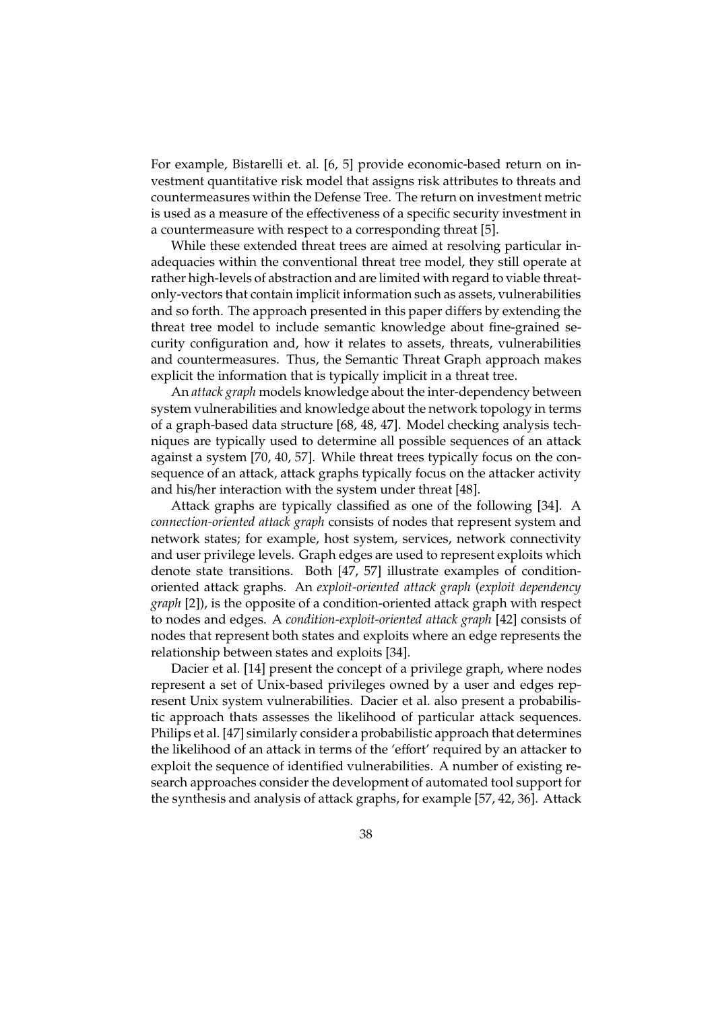For example, Bistarelli et. al. [6, 5] provide economic-based return on investment quantitative risk model that assigns risk attributes to threats and countermeasures within the Defense Tree. The return on investment metric is used as a measure of the effectiveness of a specific security investment in a countermeasure with respect to a corresponding threat [5].

While these extended threat trees are aimed at resolving particular inadequacies within the conventional threat tree model, they still operate at rather high-levels of abstraction and are limited with regard to viable threatonly-vectors that contain implicit information such as assets, vulnerabilities and so forth. The approach presented in this paper differs by extending the threat tree model to include semantic knowledge about fine-grained security configuration and, how it relates to assets, threats, vulnerabilities and countermeasures. Thus, the Semantic Threat Graph approach makes explicit the information that is typically implicit in a threat tree.

An *attack graph* models knowledge about the inter-dependency between system vulnerabilities and knowledge about the network topology in terms of a graph-based data structure [68, 48, 47]. Model checking analysis techniques are typically used to determine all possible sequences of an attack against a system [70, 40, 57]. While threat trees typically focus on the consequence of an attack, attack graphs typically focus on the attacker activity and his/her interaction with the system under threat [48].

Attack graphs are typically classified as one of the following [34]. A *connection-oriented attack graph* consists of nodes that represent system and network states; for example, host system, services, network connectivity and user privilege levels. Graph edges are used to represent exploits which denote state transitions. Both [47, 57] illustrate examples of conditionoriented attack graphs. An *exploit-oriented attack graph* (*exploit dependency graph* [2]), is the opposite of a condition-oriented attack graph with respect to nodes and edges. A *condition-exploit-oriented attack graph* [42] consists of nodes that represent both states and exploits where an edge represents the relationship between states and exploits [34].

Dacier et al. [14] present the concept of a privilege graph, where nodes represent a set of Unix-based privileges owned by a user and edges represent Unix system vulnerabilities. Dacier et al. also present a probabilistic approach thats assesses the likelihood of particular attack sequences. Philips et al. [47] similarly consider a probabilistic approach that determines the likelihood of an attack in terms of the 'effort' required by an attacker to exploit the sequence of identified vulnerabilities. A number of existing research approaches consider the development of automated tool support for the synthesis and analysis of attack graphs, for example [57, 42, 36]. Attack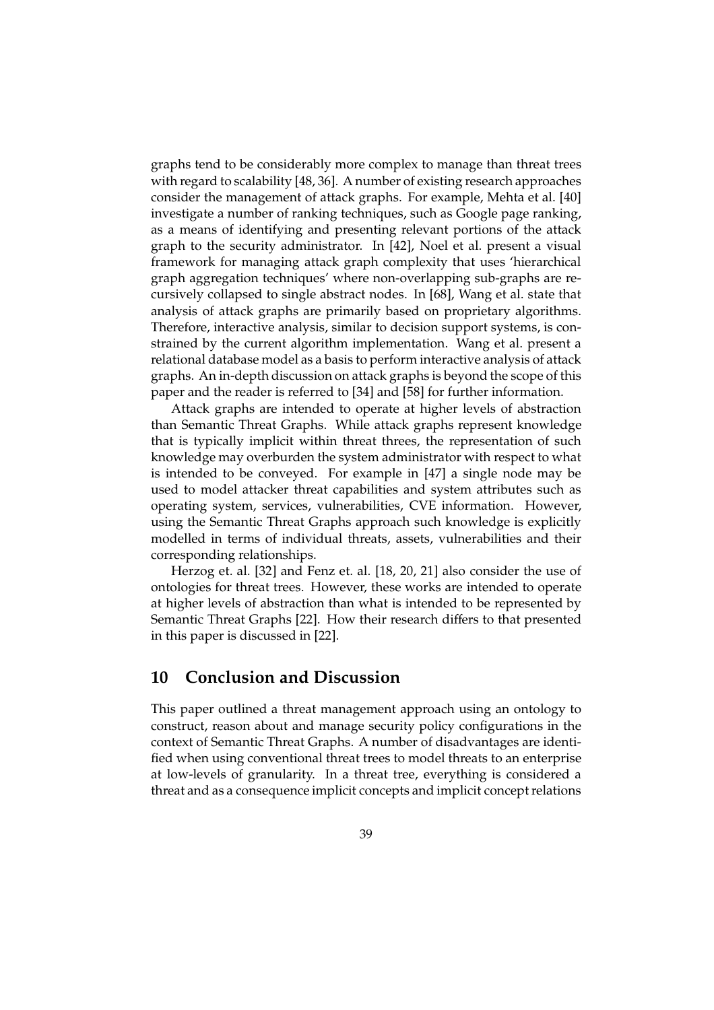graphs tend to be considerably more complex to manage than threat trees with regard to scalability [48, 36]. A number of existing research approaches consider the management of attack graphs. For example, Mehta et al. [40] investigate a number of ranking techniques, such as Google page ranking, as a means of identifying and presenting relevant portions of the attack graph to the security administrator. In [42], Noel et al. present a visual framework for managing attack graph complexity that uses 'hierarchical graph aggregation techniques' where non-overlapping sub-graphs are recursively collapsed to single abstract nodes. In [68], Wang et al. state that analysis of attack graphs are primarily based on proprietary algorithms. Therefore, interactive analysis, similar to decision support systems, is constrained by the current algorithm implementation. Wang et al. present a relational database model as a basis to perform interactive analysis of attack graphs. An in-depth discussion on attack graphs is beyond the scope of this paper and the reader is referred to [34] and [58] for further information.

Attack graphs are intended to operate at higher levels of abstraction than Semantic Threat Graphs. While attack graphs represent knowledge that is typically implicit within threat threes, the representation of such knowledge may overburden the system administrator with respect to what is intended to be conveyed. For example in [47] a single node may be used to model attacker threat capabilities and system attributes such as operating system, services, vulnerabilities, CVE information. However, using the Semantic Threat Graphs approach such knowledge is explicitly modelled in terms of individual threats, assets, vulnerabilities and their corresponding relationships.

Herzog et. al. [32] and Fenz et. al. [18, 20, 21] also consider the use of ontologies for threat trees. However, these works are intended to operate at higher levels of abstraction than what is intended to be represented by Semantic Threat Graphs [22]. How their research differs to that presented in this paper is discussed in [22].

## **10 Conclusion and Discussion**

This paper outlined a threat management approach using an ontology to construct, reason about and manage security policy configurations in the context of Semantic Threat Graphs. A number of disadvantages are identified when using conventional threat trees to model threats to an enterprise at low-levels of granularity. In a threat tree, everything is considered a threat and as a consequence implicit concepts and implicit concept relations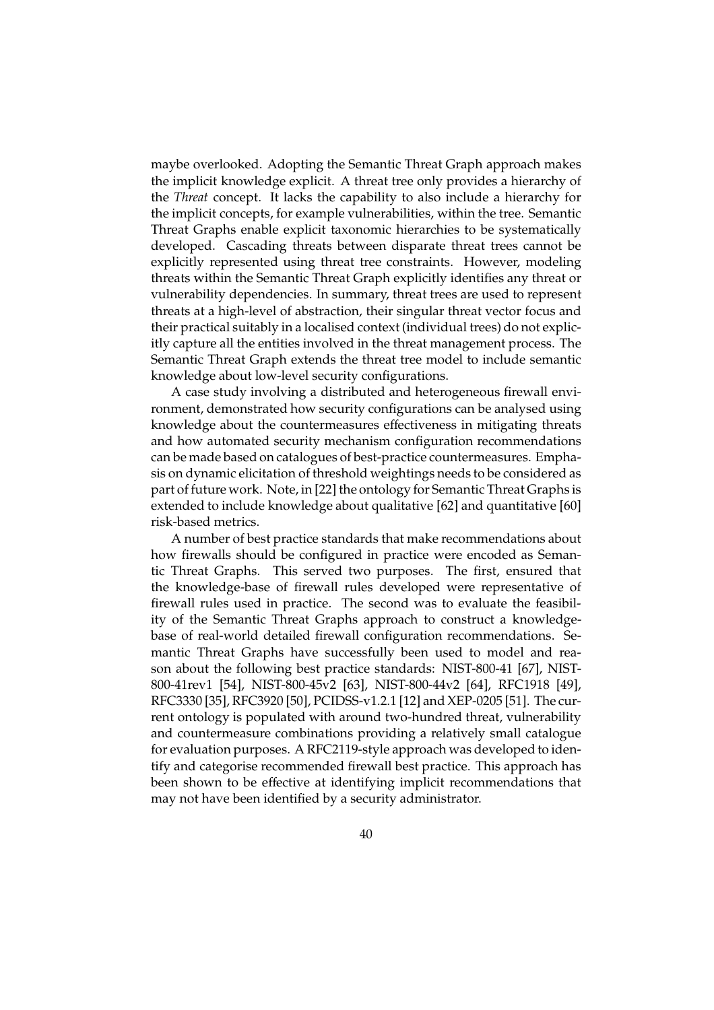maybe overlooked. Adopting the Semantic Threat Graph approach makes the implicit knowledge explicit. A threat tree only provides a hierarchy of the *Threat* concept. It lacks the capability to also include a hierarchy for the implicit concepts, for example vulnerabilities, within the tree. Semantic Threat Graphs enable explicit taxonomic hierarchies to be systematically developed. Cascading threats between disparate threat trees cannot be explicitly represented using threat tree constraints. However, modeling threats within the Semantic Threat Graph explicitly identifies any threat or vulnerability dependencies. In summary, threat trees are used to represent threats at a high-level of abstraction, their singular threat vector focus and their practical suitably in a localised context (individual trees) do not explicitly capture all the entities involved in the threat management process. The Semantic Threat Graph extends the threat tree model to include semantic knowledge about low-level security configurations.

A case study involving a distributed and heterogeneous firewall environment, demonstrated how security configurations can be analysed using knowledge about the countermeasures effectiveness in mitigating threats and how automated security mechanism configuration recommendations can be made based on catalogues of best-practice countermeasures. Emphasis on dynamic elicitation of threshold weightings needs to be considered as part of future work. Note, in [22] the ontology for Semantic Threat Graphs is extended to include knowledge about qualitative [62] and quantitative [60] risk-based metrics.

A number of best practice standards that make recommendations about how firewalls should be configured in practice were encoded as Semantic Threat Graphs. This served two purposes. The first, ensured that the knowledge-base of firewall rules developed were representative of firewall rules used in practice. The second was to evaluate the feasibility of the Semantic Threat Graphs approach to construct a knowledgebase of real-world detailed firewall configuration recommendations. Semantic Threat Graphs have successfully been used to model and reason about the following best practice standards: NIST-800-41 [67], NIST-800-41rev1 [54], NIST-800-45v2 [63], NIST-800-44v2 [64], RFC1918 [49], RFC3330 [35], RFC3920 [50], PCIDSS-v1.2.1 [12] and XEP-0205 [51]. The current ontology is populated with around two-hundred threat, vulnerability and countermeasure combinations providing a relatively small catalogue for evaluation purposes. A RFC2119-style approach was developed to identify and categorise recommended firewall best practice. This approach has been shown to be effective at identifying implicit recommendations that may not have been identified by a security administrator.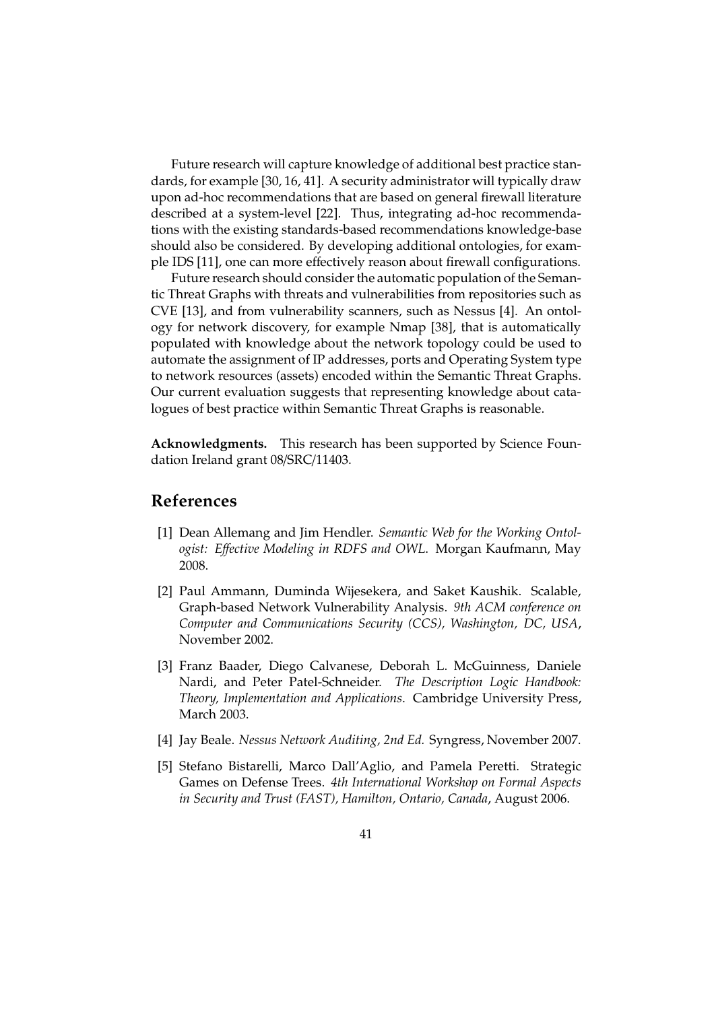Future research will capture knowledge of additional best practice standards, for example [30, 16, 41]. A security administrator will typically draw upon ad-hoc recommendations that are based on general firewall literature described at a system-level [22]. Thus, integrating ad-hoc recommendations with the existing standards-based recommendations knowledge-base should also be considered. By developing additional ontologies, for example IDS [11], one can more effectively reason about firewall configurations.

Future research should consider the automatic population of the Semantic Threat Graphs with threats and vulnerabilities from repositories such as CVE [13], and from vulnerability scanners, such as Nessus [4]. An ontology for network discovery, for example Nmap [38], that is automatically populated with knowledge about the network topology could be used to automate the assignment of IP addresses, ports and Operating System type to network resources (assets) encoded within the Semantic Threat Graphs. Our current evaluation suggests that representing knowledge about catalogues of best practice within Semantic Threat Graphs is reasonable.

**Acknowledgments.** This research has been supported by Science Foundation Ireland grant 08/SRC/11403.

## **References**

- [1] Dean Allemang and Jim Hendler. *Semantic Web for the Working Ontologist: E*ff*ective Modeling in RDFS and OWL*. Morgan Kaufmann, May 2008.
- [2] Paul Ammann, Duminda Wijesekera, and Saket Kaushik. Scalable, Graph-based Network Vulnerability Analysis. *9th ACM conference on Computer and Communications Security (CCS), Washington, DC, USA*, November 2002.
- [3] Franz Baader, Diego Calvanese, Deborah L. McGuinness, Daniele Nardi, and Peter Patel-Schneider. *The Description Logic Handbook: Theory, Implementation and Applications*. Cambridge University Press, March 2003.
- [4] Jay Beale. *Nessus Network Auditing, 2nd Ed.* Syngress, November 2007.
- [5] Stefano Bistarelli, Marco Dall'Aglio, and Pamela Peretti. Strategic Games on Defense Trees. *4th International Workshop on Formal Aspects in Security and Trust (FAST), Hamilton, Ontario, Canada*, August 2006.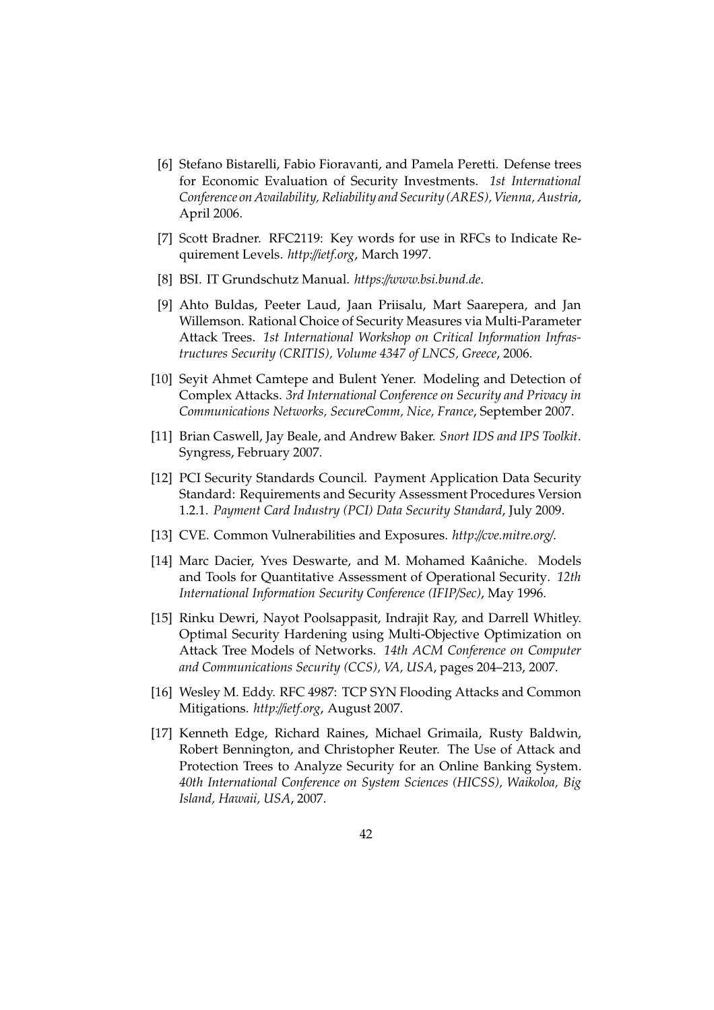- [6] Stefano Bistarelli, Fabio Fioravanti, and Pamela Peretti. Defense trees for Economic Evaluation of Security Investments. *1st International Conference on Availability, Reliability and Security (ARES), Vienna, Austria*, April 2006.
- [7] Scott Bradner. RFC2119: Key words for use in RFCs to Indicate Requirement Levels. *http:*//*ietf.org*, March 1997.
- [8] BSI. IT Grundschutz Manual. *https:*//*www.bsi.bund.de*.
- [9] Ahto Buldas, Peeter Laud, Jaan Priisalu, Mart Saarepera, and Jan Willemson. Rational Choice of Security Measures via Multi-Parameter Attack Trees. *1st International Workshop on Critical Information Infrastructures Security (CRITIS), Volume 4347 of LNCS, Greece*, 2006.
- [10] Seyit Ahmet Camtepe and Bulent Yener. Modeling and Detection of Complex Attacks. *3rd International Conference on Security and Privacy in Communications Networks, SecureComm, Nice, France*, September 2007.
- [11] Brian Caswell, Jay Beale, and Andrew Baker. *Snort IDS and IPS Toolkit*. Syngress, February 2007.
- [12] PCI Security Standards Council. Payment Application Data Security Standard: Requirements and Security Assessment Procedures Version 1.2.1. *Payment Card Industry (PCI) Data Security Standard*, July 2009.
- [13] CVE. Common Vulnerabilities and Exposures. *http:*//*cve.mitre.org*/.
- [14] Marc Dacier, Yves Deswarte, and M. Mohamed Kaâniche. Models and Tools for Quantitative Assessment of Operational Security. *12th International Information Security Conference (IFIP*/*Sec)*, May 1996.
- [15] Rinku Dewri, Nayot Poolsappasit, Indrajit Ray, and Darrell Whitley. Optimal Security Hardening using Multi-Objective Optimization on Attack Tree Models of Networks. *14th ACM Conference on Computer and Communications Security (CCS), VA, USA*, pages 204–213, 2007.
- [16] Wesley M. Eddy. RFC 4987: TCP SYN Flooding Attacks and Common Mitigations. *http:*//*ietf.org*, August 2007.
- [17] Kenneth Edge, Richard Raines, Michael Grimaila, Rusty Baldwin, Robert Bennington, and Christopher Reuter. The Use of Attack and Protection Trees to Analyze Security for an Online Banking System. *40th International Conference on System Sciences (HICSS), Waikoloa, Big Island, Hawaii, USA*, 2007.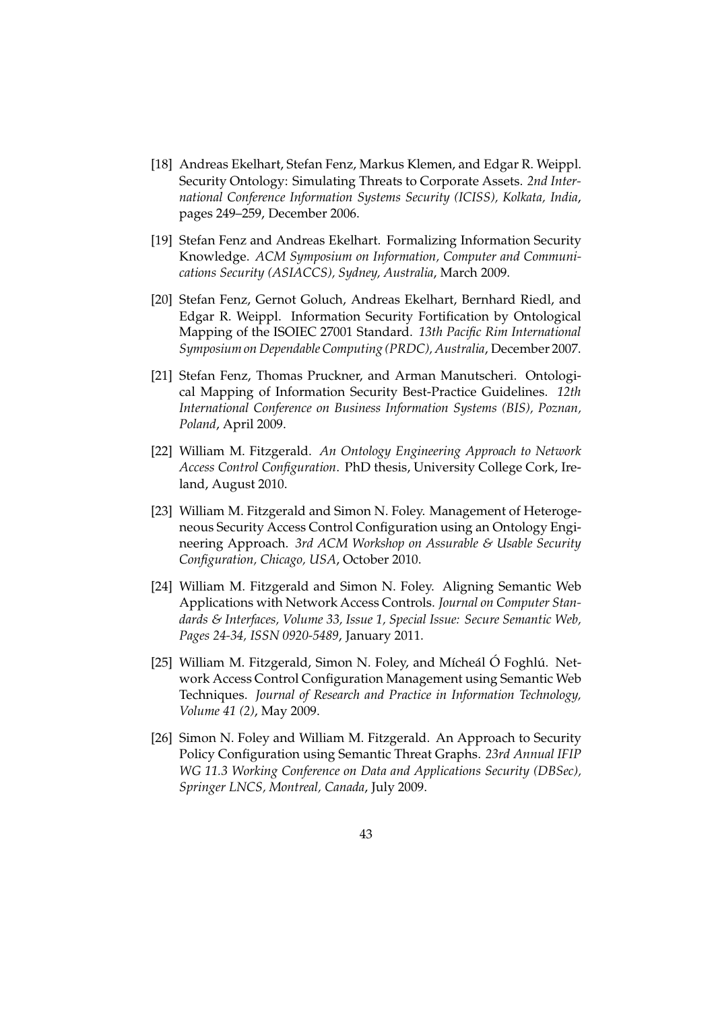- [18] Andreas Ekelhart, Stefan Fenz, Markus Klemen, and Edgar R. Weippl. Security Ontology: Simulating Threats to Corporate Assets. *2nd International Conference Information Systems Security (ICISS), Kolkata, India*, pages 249–259, December 2006.
- [19] Stefan Fenz and Andreas Ekelhart. Formalizing Information Security Knowledge. *ACM Symposium on Information, Computer and Communications Security (ASIACCS), Sydney, Australia*, March 2009.
- [20] Stefan Fenz, Gernot Goluch, Andreas Ekelhart, Bernhard Riedl, and Edgar R. Weippl. Information Security Fortification by Ontological Mapping of the ISOIEC 27001 Standard. *13th Pacific Rim International Symposium on Dependable Computing (PRDC), Australia*, December 2007.
- [21] Stefan Fenz, Thomas Pruckner, and Arman Manutscheri. Ontological Mapping of Information Security Best-Practice Guidelines. *12th International Conference on Business Information Systems (BIS), Poznan, Poland*, April 2009.
- [22] William M. Fitzgerald. *An Ontology Engineering Approach to Network Access Control Configuration*. PhD thesis, University College Cork, Ireland, August 2010.
- [23] William M. Fitzgerald and Simon N. Foley. Management of Heterogeneous Security Access Control Configuration using an Ontology Engineering Approach. *3rd ACM Workshop on Assurable & Usable Security Configuration, Chicago, USA*, October 2010.
- [24] William M. Fitzgerald and Simon N. Foley. Aligning Semantic Web Applications with Network Access Controls. *Journal on Computer Standards & Interfaces, Volume 33, Issue 1, Special Issue: Secure Semantic Web, Pages 24-34, ISSN 0920-5489*, January 2011.
- [25] William M. Fitzgerald, Simon N. Foley, and Mícheál Ó Foghlú. Network Access Control Configuration Management using Semantic Web Techniques. *Journal of Research and Practice in Information Technology, Volume 41 (2)*, May 2009.
- [26] Simon N. Foley and William M. Fitzgerald. An Approach to Security Policy Configuration using Semantic Threat Graphs. *23rd Annual IFIP WG 11.3 Working Conference on Data and Applications Security (DBSec), Springer LNCS, Montreal, Canada*, July 2009.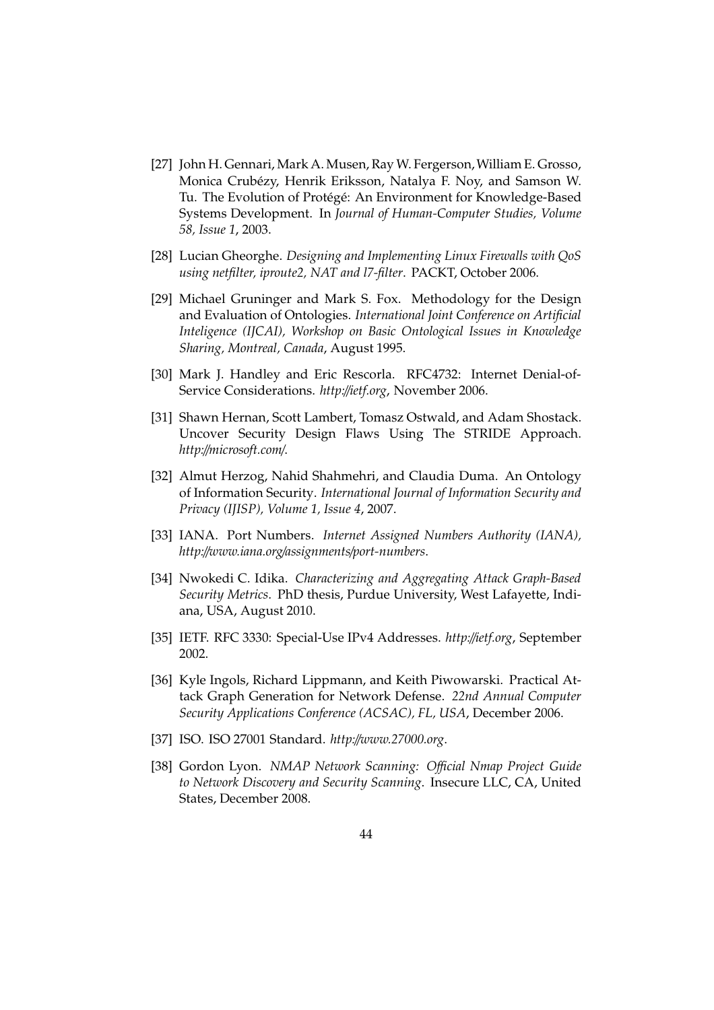- [27] John H. Gennari, Mark A. Musen, Ray W. Fergerson,William E. Grosso, Monica Crubézy, Henrik Eriksson, Natalya F. Noy, and Samson W. Tu. The Evolution of Protégé: An Environment for Knowledge-Based Systems Development. In *Journal of Human-Computer Studies, Volume 58, Issue 1*, 2003.
- [28] Lucian Gheorghe. *Designing and Implementing Linux Firewalls with QoS using netfilter, iproute2, NAT and l7-filter*. PACKT, October 2006.
- [29] Michael Gruninger and Mark S. Fox. Methodology for the Design and Evaluation of Ontologies. *International Joint Conference on Artificial Inteligence (IJCAI), Workshop on Basic Ontological Issues in Knowledge Sharing, Montreal, Canada*, August 1995.
- [30] Mark J. Handley and Eric Rescorla. RFC4732: Internet Denial-of-Service Considerations. *http:*//*ietf.org*, November 2006.
- [31] Shawn Hernan, Scott Lambert, Tomasz Ostwald, and Adam Shostack. Uncover Security Design Flaws Using The STRIDE Approach. *http:*//*microsoft.com*/.
- [32] Almut Herzog, Nahid Shahmehri, and Claudia Duma. An Ontology of Information Security. *International Journal of Information Security and Privacy (IJISP), Volume 1, Issue 4*, 2007.
- [33] IANA. Port Numbers. *Internet Assigned Numbers Authority (IANA), http:*//*www.iana.org*/*assignments*/*port-numbers*.
- [34] Nwokedi C. Idika. *Characterizing and Aggregating Attack Graph-Based Security Metrics*. PhD thesis, Purdue University, West Lafayette, Indiana, USA, August 2010.
- [35] IETF. RFC 3330: Special-Use IPv4 Addresses. *http:*//*ietf.org*, September 2002.
- [36] Kyle Ingols, Richard Lippmann, and Keith Piwowarski. Practical Attack Graph Generation for Network Defense. *22nd Annual Computer Security Applications Conference (ACSAC), FL, USA*, December 2006.
- [37] ISO. ISO 27001 Standard. *http:*//*www.27000.org*.
- [38] Gordon Lyon. *NMAP Network Scanning: O*ffi*cial Nmap Project Guide to Network Discovery and Security Scanning*. Insecure LLC, CA, United States, December 2008.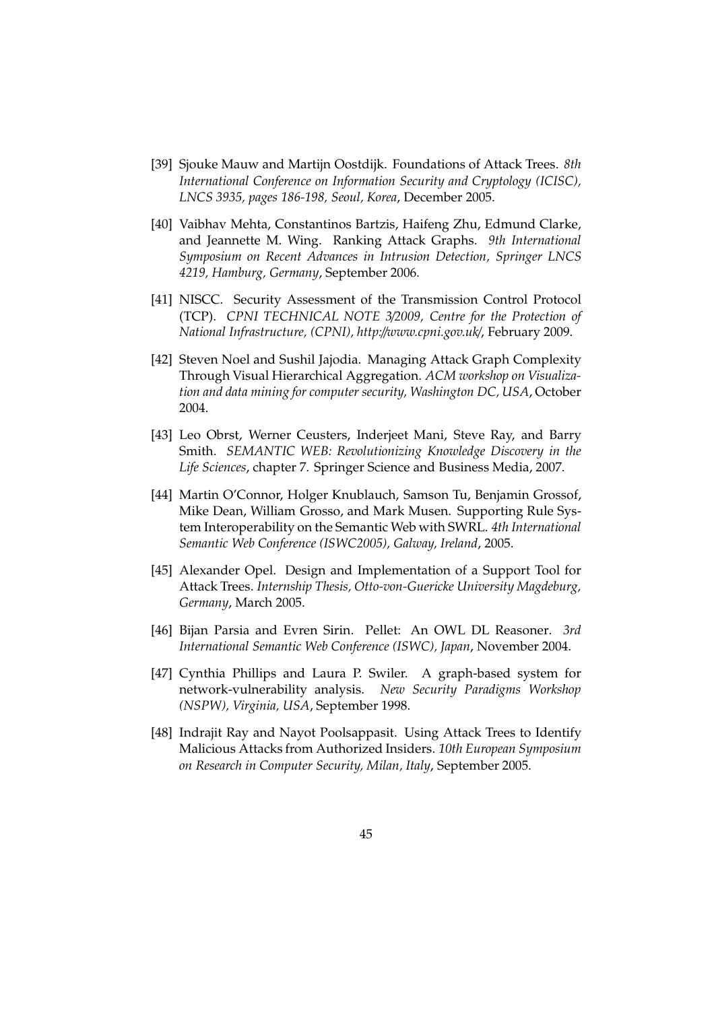- [39] Sjouke Mauw and Martijn Oostdijk. Foundations of Attack Trees. *8th International Conference on Information Security and Cryptology (ICISC), LNCS 3935, pages 186-198, Seoul, Korea*, December 2005.
- [40] Vaibhav Mehta, Constantinos Bartzis, Haifeng Zhu, Edmund Clarke, and Jeannette M. Wing. Ranking Attack Graphs. *9th International Symposium on Recent Advances in Intrusion Detection, Springer LNCS 4219, Hamburg, Germany*, September 2006.
- [41] NISCC. Security Assessment of the Transmission Control Protocol (TCP). *CPNI TECHNICAL NOTE 3*/*2009, Centre for the Protection of National Infrastructure, (CPNI), http:*//*www.cpni.gov.uk*/, February 2009.
- [42] Steven Noel and Sushil Jajodia. Managing Attack Graph Complexity Through Visual Hierarchical Aggregation. *ACM workshop on Visualization and data mining for computer security, Washington DC, USA*, October 2004.
- [43] Leo Obrst, Werner Ceusters, Inderjeet Mani, Steve Ray, and Barry Smith. *SEMANTIC WEB: Revolutionizing Knowledge Discovery in the Life Sciences*, chapter 7. Springer Science and Business Media, 2007.
- [44] Martin O'Connor, Holger Knublauch, Samson Tu, Benjamin Grossof, Mike Dean, William Grosso, and Mark Musen. Supporting Rule System Interoperability on the Semantic Web with SWRL. *4th International Semantic Web Conference (ISWC2005), Galway, Ireland*, 2005.
- [45] Alexander Opel. Design and Implementation of a Support Tool for Attack Trees. *Internship Thesis, Otto-von-Guericke University Magdeburg, Germany*, March 2005.
- [46] Bijan Parsia and Evren Sirin. Pellet: An OWL DL Reasoner. *3rd International Semantic Web Conference (ISWC), Japan*, November 2004.
- [47] Cynthia Phillips and Laura P. Swiler. A graph-based system for network-vulnerability analysis. *New Security Paradigms Workshop (NSPW), Virginia, USA*, September 1998.
- [48] Indrajit Ray and Nayot Poolsappasit. Using Attack Trees to Identify Malicious Attacks from Authorized Insiders. *10th European Symposium on Research in Computer Security, Milan, Italy*, September 2005.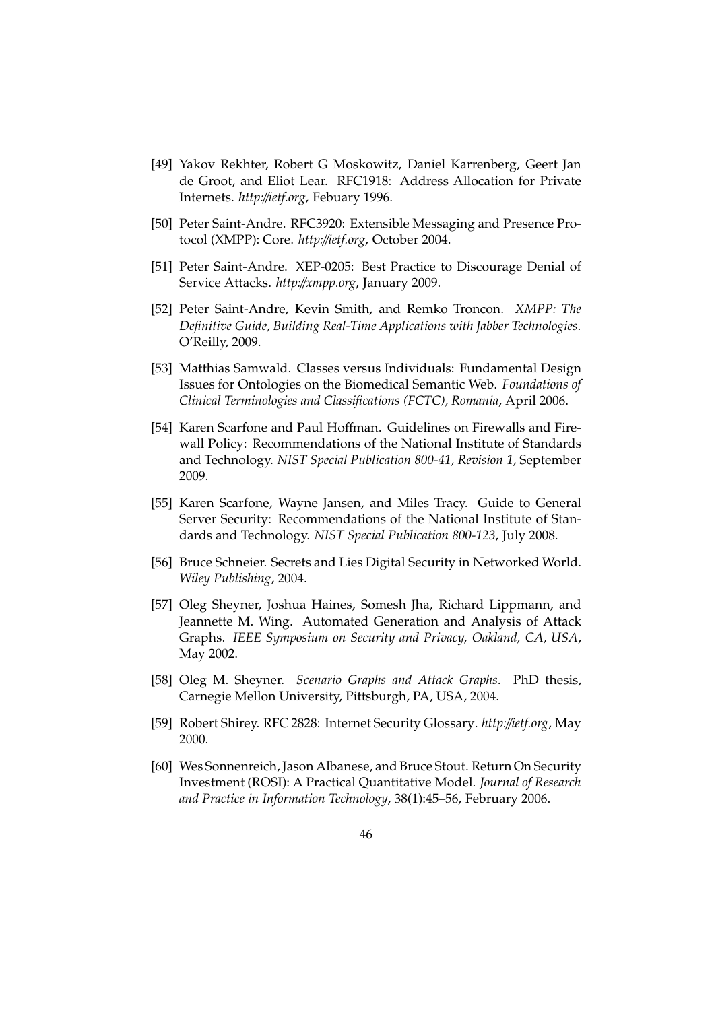- [49] Yakov Rekhter, Robert G Moskowitz, Daniel Karrenberg, Geert Jan de Groot, and Eliot Lear. RFC1918: Address Allocation for Private Internets. *http:*//*ietf.org*, Febuary 1996.
- [50] Peter Saint-Andre. RFC3920: Extensible Messaging and Presence Protocol (XMPP): Core. *http:*//*ietf.org*, October 2004.
- [51] Peter Saint-Andre. XEP-0205: Best Practice to Discourage Denial of Service Attacks. *http:*//*xmpp.org*, January 2009.
- [52] Peter Saint-Andre, Kevin Smith, and Remko Troncon. *XMPP: The Definitive Guide, Building Real-Time Applications with Jabber Technologies*. O'Reilly, 2009.
- [53] Matthias Samwald. Classes versus Individuals: Fundamental Design Issues for Ontologies on the Biomedical Semantic Web. *Foundations of Clinical Terminologies and Classifications (FCTC), Romania*, April 2006.
- [54] Karen Scarfone and Paul Hoffman. Guidelines on Firewalls and Firewall Policy: Recommendations of the National Institute of Standards and Technology. *NIST Special Publication 800-41, Revision 1*, September 2009.
- [55] Karen Scarfone, Wayne Jansen, and Miles Tracy. Guide to General Server Security: Recommendations of the National Institute of Standards and Technology. *NIST Special Publication 800-123*, July 2008.
- [56] Bruce Schneier. Secrets and Lies Digital Security in Networked World. *Wiley Publishing*, 2004.
- [57] Oleg Sheyner, Joshua Haines, Somesh Jha, Richard Lippmann, and Jeannette M. Wing. Automated Generation and Analysis of Attack Graphs. *IEEE Symposium on Security and Privacy, Oakland, CA, USA*, May 2002.
- [58] Oleg M. Sheyner. *Scenario Graphs and Attack Graphs*. PhD thesis, Carnegie Mellon University, Pittsburgh, PA, USA, 2004.
- [59] Robert Shirey. RFC 2828: Internet Security Glossary. *http:*//*ietf.org*, May 2000.
- [60] Wes Sonnenreich, Jason Albanese, and Bruce Stout. Return On Security Investment (ROSI): A Practical Quantitative Model. *Journal of Research and Practice in Information Technology*, 38(1):45–56, February 2006.